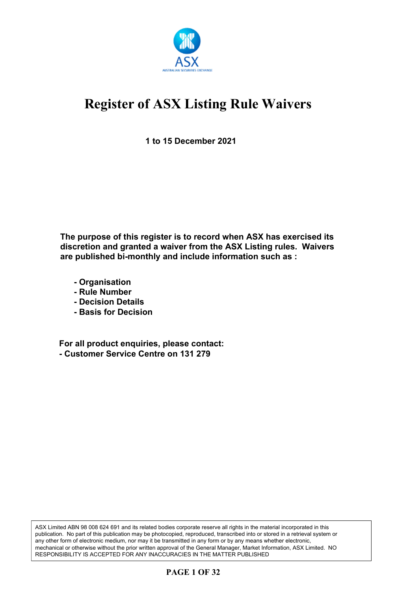

**1 to 15 December 2021**

**The purpose of this register is to record when ASX has exercised its discretion and granted a waiver from the ASX Listing rules. Waivers are published bi-monthly and include information such as :**

- **Organisation**
- **Rule Number**
- **Decision Details**
- **Basis for Decision**

**For all product enquiries, please contact: - Customer Service Centre on 131 279**

ASX Limited ABN 98 008 624 691 and its related bodies corporate reserve all rights in the material incorporated in this publication. No part of this publication may be photocopied, reproduced, transcribed into or stored in a retrieval system or any other form of electronic medium, nor may it be transmitted in any form or by any means whether electronic, mechanical or otherwise without the prior written approval of the General Manager, Market Information, ASX Limited. NO RESPONSIBILITY IS ACCEPTED FOR ANY INACCURACIES IN THE MATTER PUBLISHED

### **PAGE 1 OF 32**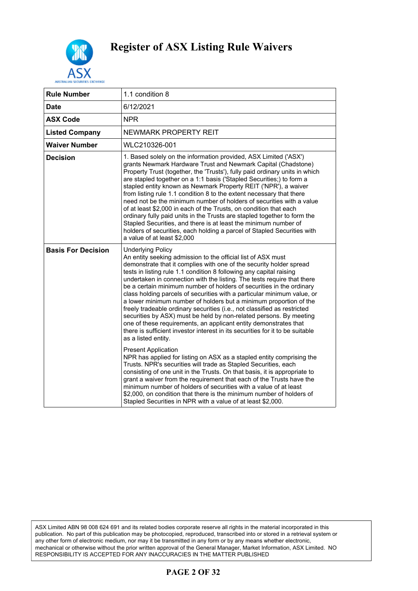

| <b>Rule Number</b>        | 1.1 condition 8                                                                                                                                                                                                                                                                                                                                                                                                                                                                                                                                                                                                                                                                                                                                                                                                                                                         |
|---------------------------|-------------------------------------------------------------------------------------------------------------------------------------------------------------------------------------------------------------------------------------------------------------------------------------------------------------------------------------------------------------------------------------------------------------------------------------------------------------------------------------------------------------------------------------------------------------------------------------------------------------------------------------------------------------------------------------------------------------------------------------------------------------------------------------------------------------------------------------------------------------------------|
| <b>Date</b>               | 6/12/2021                                                                                                                                                                                                                                                                                                                                                                                                                                                                                                                                                                                                                                                                                                                                                                                                                                                               |
| <b>ASX Code</b>           | <b>NPR</b>                                                                                                                                                                                                                                                                                                                                                                                                                                                                                                                                                                                                                                                                                                                                                                                                                                                              |
| <b>Listed Company</b>     | NEWMARK PROPERTY REIT                                                                                                                                                                                                                                                                                                                                                                                                                                                                                                                                                                                                                                                                                                                                                                                                                                                   |
| <b>Waiver Number</b>      | WLC210326-001                                                                                                                                                                                                                                                                                                                                                                                                                                                                                                                                                                                                                                                                                                                                                                                                                                                           |
| <b>Decision</b>           | 1. Based solely on the information provided, ASX Limited ('ASX')<br>grants Newmark Hardware Trust and Newmark Capital (Chadstone)<br>Property Trust (together, the 'Trusts'), fully paid ordinary units in which<br>are stapled together on a 1:1 basis ('Stapled Securities;) to form a<br>stapled entity known as Newmark Property REIT ('NPR'), a waiver<br>from listing rule 1.1 condition 8 to the extent necessary that there<br>need not be the minimum number of holders of securities with a value<br>of at least \$2,000 in each of the Trusts, on condition that each<br>ordinary fully paid units in the Trusts are stapled together to form the<br>Stapled Securities, and there is at least the minimum number of<br>holders of securities, each holding a parcel of Stapled Securities with<br>a value of at least \$2,000                               |
| <b>Basis For Decision</b> | <b>Underlying Policy</b><br>An entity seeking admission to the official list of ASX must<br>demonstrate that it complies with one of the security holder spread<br>tests in listing rule 1.1 condition 8 following any capital raising<br>undertaken in connection with the listing. The tests require that there<br>be a certain minimum number of holders of securities in the ordinary<br>class holding parcels of securities with a particular minimum value, or<br>a lower minimum number of holders but a minimum proportion of the<br>freely tradeable ordinary securities (i.e., not classified as restricted<br>securities by ASX) must be held by non-related persons. By meeting<br>one of these requirements, an applicant entity demonstrates that<br>there is sufficient investor interest in its securities for it to be suitable<br>as a listed entity. |
|                           | <b>Present Application</b><br>NPR has applied for listing on ASX as a stapled entity comprising the<br>Trusts. NPR's securities will trade as Stapled Securities, each<br>consisting of one unit in the Trusts. On that basis, it is appropriate to<br>grant a waiver from the requirement that each of the Trusts have the<br>minimum number of holders of securities with a value of at least<br>\$2,000, on condition that there is the minimum number of holders of<br>Stapled Securities in NPR with a value of at least \$2,000.                                                                                                                                                                                                                                                                                                                                  |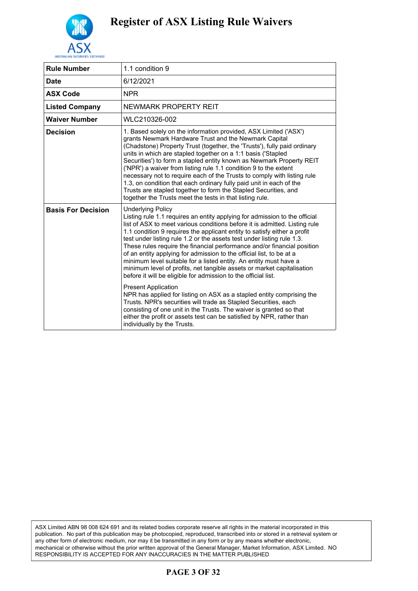

| <b>Rule Number</b>        | 1.1 condition 9                                                                                                                                                                                                                                                                                                                                                                                                                                                                                                                                                                                                                                                                                                                                                                                                                                                                                                                                                                                                                                                         |
|---------------------------|-------------------------------------------------------------------------------------------------------------------------------------------------------------------------------------------------------------------------------------------------------------------------------------------------------------------------------------------------------------------------------------------------------------------------------------------------------------------------------------------------------------------------------------------------------------------------------------------------------------------------------------------------------------------------------------------------------------------------------------------------------------------------------------------------------------------------------------------------------------------------------------------------------------------------------------------------------------------------------------------------------------------------------------------------------------------------|
| Date                      | 6/12/2021                                                                                                                                                                                                                                                                                                                                                                                                                                                                                                                                                                                                                                                                                                                                                                                                                                                                                                                                                                                                                                                               |
| <b>ASX Code</b>           | <b>NPR</b>                                                                                                                                                                                                                                                                                                                                                                                                                                                                                                                                                                                                                                                                                                                                                                                                                                                                                                                                                                                                                                                              |
| <b>Listed Company</b>     | NEWMARK PROPERTY REIT                                                                                                                                                                                                                                                                                                                                                                                                                                                                                                                                                                                                                                                                                                                                                                                                                                                                                                                                                                                                                                                   |
| Waiver Number             | WLC210326-002                                                                                                                                                                                                                                                                                                                                                                                                                                                                                                                                                                                                                                                                                                                                                                                                                                                                                                                                                                                                                                                           |
| <b>Decision</b>           | 1. Based solely on the information provided, ASX Limited ('ASX')<br>grants Newmark Hardware Trust and the Newmark Capital<br>(Chadstone) Property Trust (together, the 'Trusts'), fully paid ordinary<br>units in which are stapled together on a 1:1 basis ('Stapled<br>Securities') to form a stapled entity known as Newmark Property REIT<br>('NPR') a waiver from listing rule 1.1 condition 9 to the extent<br>necessary not to require each of the Trusts to comply with listing rule<br>1.3, on condition that each ordinary fully paid unit in each of the<br>Trusts are stapled together to form the Stapled Securities, and<br>together the Trusts meet the tests in that listing rule.                                                                                                                                                                                                                                                                                                                                                                      |
| <b>Basis For Decision</b> | <b>Underlying Policy</b><br>Listing rule 1.1 requires an entity applying for admission to the official<br>list of ASX to meet various conditions before it is admitted. Listing rule<br>1.1 condition 9 requires the applicant entity to satisfy either a profit<br>test under listing rule 1.2 or the assets test under listing rule 1.3.<br>These rules require the financial performance and/or financial position<br>of an entity applying for admission to the official list, to be at a<br>minimum level suitable for a listed entity. An entity must have a<br>minimum level of profits, net tangible assets or market capitalisation<br>before it will be eligible for admission to the official list.<br><b>Present Application</b><br>NPR has applied for listing on ASX as a stapled entity comprising the<br>Trusts. NPR's securities will trade as Stapled Securities, each<br>consisting of one unit in the Trusts. The waiver is granted so that<br>either the profit or assets test can be satisfied by NPR, rather than<br>individually by the Trusts. |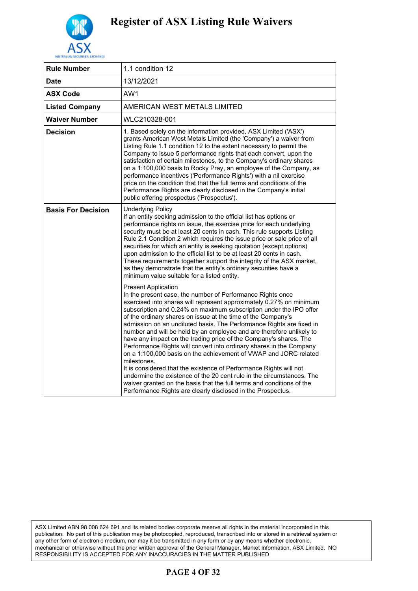

| <b>Rule Number</b>        | 1.1 condition 12                                                                                                                                                                                                                                                                                                                                                                                                                                                                                                                                                                                                                                                                                                                                                                                                                                                                                                                                                            |
|---------------------------|-----------------------------------------------------------------------------------------------------------------------------------------------------------------------------------------------------------------------------------------------------------------------------------------------------------------------------------------------------------------------------------------------------------------------------------------------------------------------------------------------------------------------------------------------------------------------------------------------------------------------------------------------------------------------------------------------------------------------------------------------------------------------------------------------------------------------------------------------------------------------------------------------------------------------------------------------------------------------------|
| Date                      | 13/12/2021                                                                                                                                                                                                                                                                                                                                                                                                                                                                                                                                                                                                                                                                                                                                                                                                                                                                                                                                                                  |
| <b>ASX Code</b>           | AW1                                                                                                                                                                                                                                                                                                                                                                                                                                                                                                                                                                                                                                                                                                                                                                                                                                                                                                                                                                         |
| <b>Listed Company</b>     | AMERICAN WEST METALS LIMITED                                                                                                                                                                                                                                                                                                                                                                                                                                                                                                                                                                                                                                                                                                                                                                                                                                                                                                                                                |
| <b>Waiver Number</b>      | WLC210328-001                                                                                                                                                                                                                                                                                                                                                                                                                                                                                                                                                                                                                                                                                                                                                                                                                                                                                                                                                               |
| <b>Decision</b>           | 1. Based solely on the information provided, ASX Limited ('ASX')<br>grants American West Metals Limited (the 'Company') a waiver from<br>Listing Rule 1.1 condition 12 to the extent necessary to permit the<br>Company to issue 5 performance rights that each convert, upon the<br>satisfaction of certain milestones, to the Company's ordinary shares<br>on a 1:100,000 basis to Rocky Pray, an employee of the Company, as<br>performance incentives ('Performance Rights') with a nil exercise<br>price on the condition that that the full terms and conditions of the<br>Performance Rights are clearly disclosed in the Company's initial<br>public offering prospectus ('Prospectus').                                                                                                                                                                                                                                                                            |
| <b>Basis For Decision</b> | <b>Underlying Policy</b><br>If an entity seeking admission to the official list has options or<br>performance rights on issue, the exercise price for each underlying<br>security must be at least 20 cents in cash. This rule supports Listing<br>Rule 2.1 Condition 2 which requires the issue price or sale price of all<br>securities for which an entity is seeking quotation (except options)<br>upon admission to the official list to be at least 20 cents in cash.<br>These requirements together support the integrity of the ASX market,<br>as they demonstrate that the entity's ordinary securities have a<br>minimum value suitable for a listed entity.                                                                                                                                                                                                                                                                                                      |
|                           | <b>Present Application</b><br>In the present case, the number of Performance Rights once<br>exercised into shares will represent approximately 0.27% on minimum<br>subscription and 0.24% on maximum subscription under the IPO offer<br>of the ordinary shares on issue at the time of the Company's<br>admission on an undiluted basis. The Performance Rights are fixed in<br>number and will be held by an employee and are therefore unlikely to<br>have any impact on the trading price of the Company's shares. The<br>Performance Rights will convert into ordinary shares in the Company<br>on a 1:100,000 basis on the achievement of VWAP and JORC related<br>milestones.<br>It is considered that the existence of Performance Rights will not<br>undermine the existence of the 20 cent rule in the circumstances. The<br>waiver granted on the basis that the full terms and conditions of the<br>Performance Rights are clearly disclosed in the Prospectus. |

### **PAGE 4 OF 32**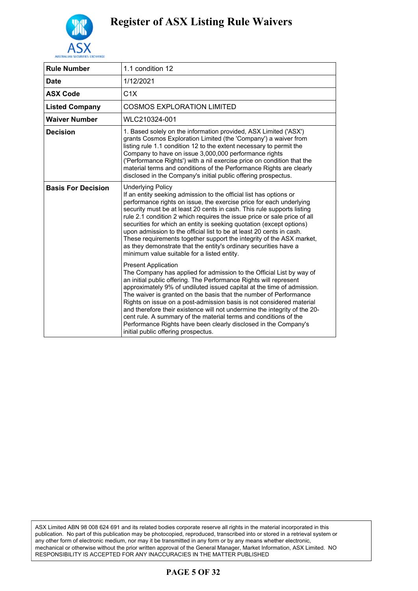

| <b>Rule Number</b>        | 1.1 condition 12                                                                                                                                                                                                                                                                                                                                                                                                                                                                                                                                                                                                                                                       |
|---------------------------|------------------------------------------------------------------------------------------------------------------------------------------------------------------------------------------------------------------------------------------------------------------------------------------------------------------------------------------------------------------------------------------------------------------------------------------------------------------------------------------------------------------------------------------------------------------------------------------------------------------------------------------------------------------------|
| <b>Date</b>               | 1/12/2021                                                                                                                                                                                                                                                                                                                                                                                                                                                                                                                                                                                                                                                              |
| <b>ASX Code</b>           | C1X                                                                                                                                                                                                                                                                                                                                                                                                                                                                                                                                                                                                                                                                    |
| <b>Listed Company</b>     | <b>COSMOS EXPLORATION LIMITED</b>                                                                                                                                                                                                                                                                                                                                                                                                                                                                                                                                                                                                                                      |
| <b>Waiver Number</b>      | WLC210324-001                                                                                                                                                                                                                                                                                                                                                                                                                                                                                                                                                                                                                                                          |
| <b>Decision</b>           | 1. Based solely on the information provided, ASX Limited ('ASX')<br>grants Cosmos Exploration Limited (the 'Company') a waiver from<br>listing rule 1.1 condition 12 to the extent necessary to permit the<br>Company to have on issue 3,000,000 performance rights<br>('Performance Rights') with a nil exercise price on condition that the<br>material terms and conditions of the Performance Rights are clearly<br>disclosed in the Company's initial public offering prospectus.                                                                                                                                                                                 |
| <b>Basis For Decision</b> | <b>Underlying Policy</b><br>If an entity seeking admission to the official list has options or<br>performance rights on issue, the exercise price for each underlying<br>security must be at least 20 cents in cash. This rule supports listing<br>rule 2.1 condition 2 which requires the issue price or sale price of all<br>securities for which an entity is seeking quotation (except options)<br>upon admission to the official list to be at least 20 cents in cash.<br>These requirements together support the integrity of the ASX market,<br>as they demonstrate that the entity's ordinary securities have a<br>minimum value suitable for a listed entity. |
|                           | <b>Present Application</b><br>The Company has applied for admission to the Official List by way of<br>an initial public offering. The Performance Rights will represent<br>approximately 9% of undiluted issued capital at the time of admission.<br>The waiver is granted on the basis that the number of Performance<br>Rights on issue on a post-admission basis is not considered material<br>and therefore their existence will not undermine the integrity of the 20-<br>cent rule. A summary of the material terms and conditions of the<br>Performance Rights have been clearly disclosed in the Company's<br>initial public offering prospectus.              |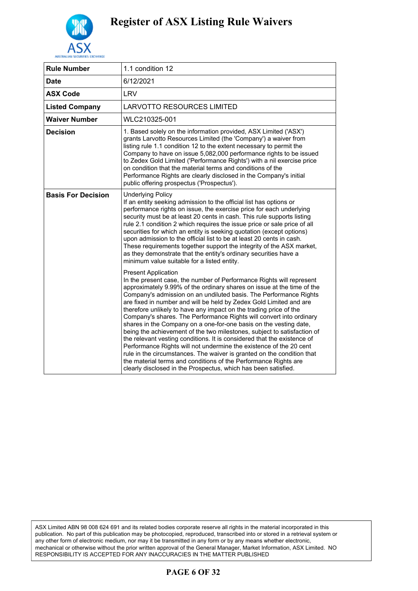

| <b>Rule Number</b>        | 1.1 condition 12                                                                                                                                                                                                                                                                                                                                                                                                                                                                                                                                                                                                                                                                                                                                                                                                                                                                                                                                                                    |
|---------------------------|-------------------------------------------------------------------------------------------------------------------------------------------------------------------------------------------------------------------------------------------------------------------------------------------------------------------------------------------------------------------------------------------------------------------------------------------------------------------------------------------------------------------------------------------------------------------------------------------------------------------------------------------------------------------------------------------------------------------------------------------------------------------------------------------------------------------------------------------------------------------------------------------------------------------------------------------------------------------------------------|
| Date                      | 6/12/2021                                                                                                                                                                                                                                                                                                                                                                                                                                                                                                                                                                                                                                                                                                                                                                                                                                                                                                                                                                           |
| <b>ASX Code</b>           | <b>LRV</b>                                                                                                                                                                                                                                                                                                                                                                                                                                                                                                                                                                                                                                                                                                                                                                                                                                                                                                                                                                          |
| <b>Listed Company</b>     | LARVOTTO RESOURCES LIMITED                                                                                                                                                                                                                                                                                                                                                                                                                                                                                                                                                                                                                                                                                                                                                                                                                                                                                                                                                          |
| <b>Waiver Number</b>      | WLC210325-001                                                                                                                                                                                                                                                                                                                                                                                                                                                                                                                                                                                                                                                                                                                                                                                                                                                                                                                                                                       |
| <b>Decision</b>           | 1. Based solely on the information provided, ASX Limited ('ASX')<br>grants Larvotto Resources Limited (the 'Company') a waiver from<br>listing rule 1.1 condition 12 to the extent necessary to permit the<br>Company to have on issue 5,082,000 performance rights to be issued<br>to Zedex Gold Limited ('Performance Rights') with a nil exercise price<br>on condition that the material terms and conditions of the<br>Performance Rights are clearly disclosed in the Company's initial<br>public offering prospectus ('Prospectus').                                                                                                                                                                                                                                                                                                                                                                                                                                         |
| <b>Basis For Decision</b> | <b>Underlying Policy</b><br>If an entity seeking admission to the official list has options or<br>performance rights on issue, the exercise price for each underlying<br>security must be at least 20 cents in cash. This rule supports listing<br>rule 2.1 condition 2 which requires the issue price or sale price of all<br>securities for which an entity is seeking quotation (except options)<br>upon admission to the official list to be at least 20 cents in cash.<br>These requirements together support the integrity of the ASX market,<br>as they demonstrate that the entity's ordinary securities have a<br>minimum value suitable for a listed entity.                                                                                                                                                                                                                                                                                                              |
|                           | <b>Present Application</b><br>In the present case, the number of Performance Rights will represent<br>approximately 9.99% of the ordinary shares on issue at the time of the<br>Company's admission on an undiluted basis. The Performance Rights<br>are fixed in number and will be held by Zedex Gold Limited and are<br>therefore unlikely to have any impact on the trading price of the<br>Company's shares. The Performance Rights will convert into ordinary<br>shares in the Company on a one-for-one basis on the vesting date,<br>being the achievement of the two milestones, subject to satisfaction of<br>the relevant vesting conditions. It is considered that the existence of<br>Performance Rights will not undermine the existence of the 20 cent<br>rule in the circumstances. The waiver is granted on the condition that<br>the material terms and conditions of the Performance Rights are<br>clearly disclosed in the Prospectus, which has been satisfied. |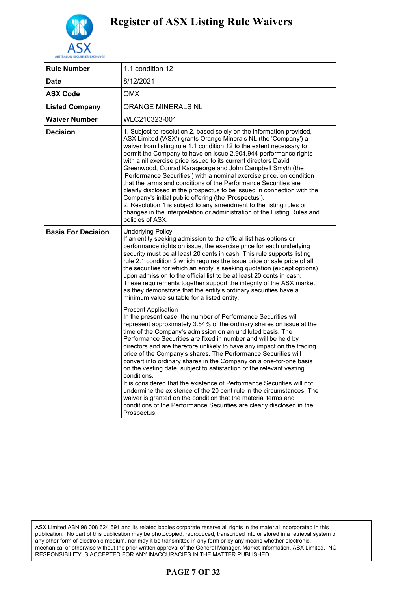

| <b>Rule Number</b>        | 1.1 condition 12                                                                                                                                                                                                                                                                                                                                                                                                                                                                                                                                                                                                                                                                                                                                                                                                                                                                                                           |
|---------------------------|----------------------------------------------------------------------------------------------------------------------------------------------------------------------------------------------------------------------------------------------------------------------------------------------------------------------------------------------------------------------------------------------------------------------------------------------------------------------------------------------------------------------------------------------------------------------------------------------------------------------------------------------------------------------------------------------------------------------------------------------------------------------------------------------------------------------------------------------------------------------------------------------------------------------------|
| <b>Date</b>               | 8/12/2021                                                                                                                                                                                                                                                                                                                                                                                                                                                                                                                                                                                                                                                                                                                                                                                                                                                                                                                  |
| <b>ASX Code</b>           | OMX                                                                                                                                                                                                                                                                                                                                                                                                                                                                                                                                                                                                                                                                                                                                                                                                                                                                                                                        |
| <b>Listed Company</b>     | ORANGE MINERALS NL                                                                                                                                                                                                                                                                                                                                                                                                                                                                                                                                                                                                                                                                                                                                                                                                                                                                                                         |
| <b>Waiver Number</b>      | WLC210323-001                                                                                                                                                                                                                                                                                                                                                                                                                                                                                                                                                                                                                                                                                                                                                                                                                                                                                                              |
| <b>Decision</b>           | 1. Subject to resolution 2, based solely on the information provided,<br>ASX Limited ('ASX') grants Orange Minerals NL (the 'Company') a<br>waiver from listing rule 1.1 condition 12 to the extent necessary to<br>permit the Company to have on issue 2,904,944 performance rights<br>with a nil exercise price issued to its current directors David<br>Greenwood, Conrad Karageorge and John Campbell Smyth (the<br>'Performance Securities') with a nominal exercise price, on condition<br>that the terms and conditions of the Performance Securities are<br>clearly disclosed in the prospectus to be issued in connection with the<br>Company's initial public offering (the 'Prospectus').<br>2. Resolution 1 is subject to any amendment to the listing rules or<br>changes in the interpretation or administration of the Listing Rules and<br>policies of ASX.                                                |
| <b>Basis For Decision</b> | <b>Underlying Policy</b><br>If an entity seeking admission to the official list has options or<br>performance rights on issue, the exercise price for each underlying<br>security must be at least 20 cents in cash. This rule supports listing<br>rule 2.1 condition 2 which requires the issue price or sale price of all<br>the securities for which an entity is seeking quotation (except options)<br>upon admission to the official list to be at least 20 cents in cash.<br>These requirements together support the integrity of the ASX market,<br>as they demonstrate that the entity's ordinary securities have a<br>minimum value suitable for a listed entity.                                                                                                                                                                                                                                                 |
|                           | <b>Present Application</b><br>In the present case, the number of Performance Securities will<br>represent approximately 3.54% of the ordinary shares on issue at the<br>time of the Company's admission on an undiluted basis. The<br>Performance Securities are fixed in number and will be held by<br>directors and are therefore unlikely to have any impact on the trading<br>price of the Company's shares. The Performance Securities will<br>convert into ordinary shares in the Company on a one-for-one basis<br>on the vesting date, subject to satisfaction of the relevant vesting<br>conditions.<br>It is considered that the existence of Performance Securities will not<br>undermine the existence of the 20 cent rule in the circumstances. The<br>waiver is granted on the condition that the material terms and<br>conditions of the Performance Securities are clearly disclosed in the<br>Prospectus. |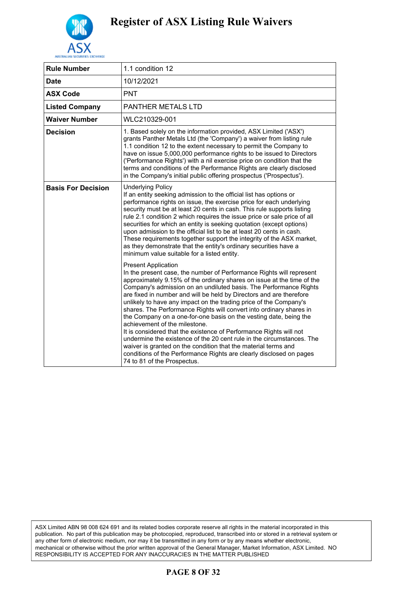

| <b>Rule Number</b>        | 1.1 condition 12                                                                                                                                                                                                                                                                                                                                                                                                                                                                                                                                                                                                                                                                                                                                                                                                                                                                                  |
|---------------------------|---------------------------------------------------------------------------------------------------------------------------------------------------------------------------------------------------------------------------------------------------------------------------------------------------------------------------------------------------------------------------------------------------------------------------------------------------------------------------------------------------------------------------------------------------------------------------------------------------------------------------------------------------------------------------------------------------------------------------------------------------------------------------------------------------------------------------------------------------------------------------------------------------|
| Date                      | 10/12/2021                                                                                                                                                                                                                                                                                                                                                                                                                                                                                                                                                                                                                                                                                                                                                                                                                                                                                        |
| <b>ASX Code</b>           | <b>PNT</b>                                                                                                                                                                                                                                                                                                                                                                                                                                                                                                                                                                                                                                                                                                                                                                                                                                                                                        |
| <b>Listed Company</b>     | PANTHER METALS LTD                                                                                                                                                                                                                                                                                                                                                                                                                                                                                                                                                                                                                                                                                                                                                                                                                                                                                |
| <b>Waiver Number</b>      | WLC210329-001                                                                                                                                                                                                                                                                                                                                                                                                                                                                                                                                                                                                                                                                                                                                                                                                                                                                                     |
| <b>Decision</b>           | 1. Based solely on the information provided, ASX Limited ('ASX')<br>grants Panther Metals Ltd (the 'Company') a waiver from listing rule<br>1.1 condition 12 to the extent necessary to permit the Company to<br>have on issue 5,000,000 performance rights to be issued to Directors<br>('Performance Rights') with a nil exercise price on condition that the<br>terms and conditions of the Performance Rights are clearly disclosed<br>in the Company's initial public offering prospectus ('Prospectus').                                                                                                                                                                                                                                                                                                                                                                                    |
| <b>Basis For Decision</b> | <b>Underlying Policy</b><br>If an entity seeking admission to the official list has options or<br>performance rights on issue, the exercise price for each underlying<br>security must be at least 20 cents in cash. This rule supports listing<br>rule 2.1 condition 2 which requires the issue price or sale price of all<br>securities for which an entity is seeking quotation (except options)<br>upon admission to the official list to be at least 20 cents in cash.<br>These requirements together support the integrity of the ASX market,<br>as they demonstrate that the entity's ordinary securities have a<br>minimum value suitable for a listed entity.                                                                                                                                                                                                                            |
|                           | <b>Present Application</b><br>In the present case, the number of Performance Rights will represent<br>approximately 9.15% of the ordinary shares on issue at the time of the<br>Company's admission on an undiluted basis. The Performance Rights<br>are fixed in number and will be held by Directors and are therefore<br>unlikely to have any impact on the trading price of the Company's<br>shares. The Performance Rights will convert into ordinary shares in<br>the Company on a one-for-one basis on the vesting date, being the<br>achievement of the milestone.<br>It is considered that the existence of Performance Rights will not<br>undermine the existence of the 20 cent rule in the circumstances. The<br>waiver is granted on the condition that the material terms and<br>conditions of the Performance Rights are clearly disclosed on pages<br>74 to 81 of the Prospectus. |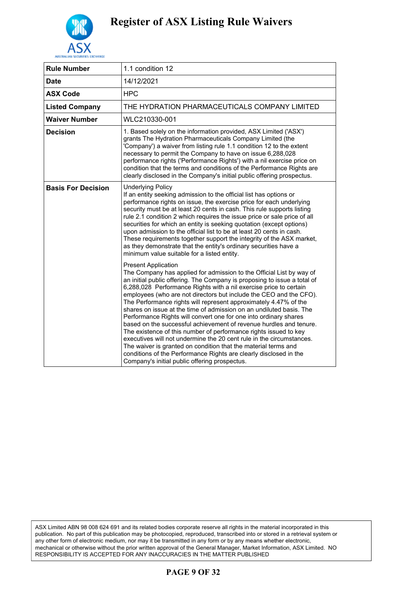

| <b>Rule Number</b>        | 1.1 condition 12                                                                                                                                                                                                                                                                                                                                                                                                                                                                                                                                                                                                                                                                                                                                                                                                                                                                                                                                   |
|---------------------------|----------------------------------------------------------------------------------------------------------------------------------------------------------------------------------------------------------------------------------------------------------------------------------------------------------------------------------------------------------------------------------------------------------------------------------------------------------------------------------------------------------------------------------------------------------------------------------------------------------------------------------------------------------------------------------------------------------------------------------------------------------------------------------------------------------------------------------------------------------------------------------------------------------------------------------------------------|
| <b>Date</b>               | 14/12/2021                                                                                                                                                                                                                                                                                                                                                                                                                                                                                                                                                                                                                                                                                                                                                                                                                                                                                                                                         |
| <b>ASX Code</b>           | <b>HPC</b>                                                                                                                                                                                                                                                                                                                                                                                                                                                                                                                                                                                                                                                                                                                                                                                                                                                                                                                                         |
| <b>Listed Company</b>     | THE HYDRATION PHARMACEUTICALS COMPANY LIMITED                                                                                                                                                                                                                                                                                                                                                                                                                                                                                                                                                                                                                                                                                                                                                                                                                                                                                                      |
| <b>Waiver Number</b>      | WLC210330-001                                                                                                                                                                                                                                                                                                                                                                                                                                                                                                                                                                                                                                                                                                                                                                                                                                                                                                                                      |
| <b>Decision</b>           | 1. Based solely on the information provided, ASX Limited ('ASX')<br>grants The Hydration Pharmaceuticals Company Limited (the<br>'Company') a waiver from listing rule 1.1 condition 12 to the extent<br>necessary to permit the Company to have on issue 6,288,028<br>performance rights ('Performance Rights') with a nil exercise price on<br>condition that the terms and conditions of the Performance Rights are<br>clearly disclosed in the Company's initial public offering prospectus.                                                                                                                                                                                                                                                                                                                                                                                                                                                   |
| <b>Basis For Decision</b> | <b>Underlying Policy</b><br>If an entity seeking admission to the official list has options or<br>performance rights on issue, the exercise price for each underlying<br>security must be at least 20 cents in cash. This rule supports listing<br>rule 2.1 condition 2 which requires the issue price or sale price of all<br>securities for which an entity is seeking quotation (except options)<br>upon admission to the official list to be at least 20 cents in cash.<br>These requirements together support the integrity of the ASX market,<br>as they demonstrate that the entity's ordinary securities have a<br>minimum value suitable for a listed entity.                                                                                                                                                                                                                                                                             |
|                           | <b>Present Application</b><br>The Company has applied for admission to the Official List by way of<br>an initial public offering. The Company is proposing to issue a total of<br>6,288,028 Performance Rights with a nil exercise price to certain<br>employees (who are not directors but include the CEO and the CFO).<br>The Performance rights will represent approximately 4.47% of the<br>shares on issue at the time of admission on an undiluted basis. The<br>Performance Rights will convert one for one into ordinary shares<br>based on the successful achievement of revenue hurdles and tenure.<br>The existence of this number of performance rights issued to key<br>executives will not undermine the 20 cent rule in the circumstances.<br>The waiver is granted on condition that the material terms and<br>conditions of the Performance Rights are clearly disclosed in the<br>Company's initial public offering prospectus. |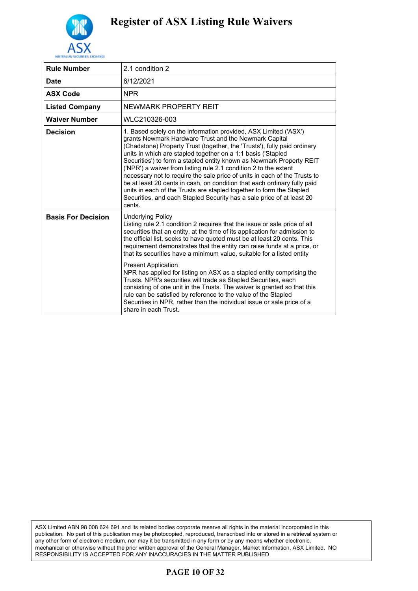

| <b>Rule Number</b>        | 2.1 condition 2                                                                                                                                                                                                                                                                                                                                                                                                                                                                                                                                                                                                                                                                                                                                                                                                                               |
|---------------------------|-----------------------------------------------------------------------------------------------------------------------------------------------------------------------------------------------------------------------------------------------------------------------------------------------------------------------------------------------------------------------------------------------------------------------------------------------------------------------------------------------------------------------------------------------------------------------------------------------------------------------------------------------------------------------------------------------------------------------------------------------------------------------------------------------------------------------------------------------|
| <b>Date</b>               | 6/12/2021                                                                                                                                                                                                                                                                                                                                                                                                                                                                                                                                                                                                                                                                                                                                                                                                                                     |
| <b>ASX Code</b>           | <b>NPR</b>                                                                                                                                                                                                                                                                                                                                                                                                                                                                                                                                                                                                                                                                                                                                                                                                                                    |
| <b>Listed Company</b>     | NEWMARK PROPERTY REIT                                                                                                                                                                                                                                                                                                                                                                                                                                                                                                                                                                                                                                                                                                                                                                                                                         |
| <b>Waiver Number</b>      | WLC210326-003                                                                                                                                                                                                                                                                                                                                                                                                                                                                                                                                                                                                                                                                                                                                                                                                                                 |
| <b>Decision</b>           | 1. Based solely on the information provided, ASX Limited ('ASX')<br>grants Newmark Hardware Trust and the Newmark Capital<br>(Chadstone) Property Trust (together, the 'Trusts'), fully paid ordinary<br>units in which are stapled together on a 1:1 basis ('Stapled<br>Securities') to form a stapled entity known as Newmark Property REIT<br>('NPR') a waiver from listing rule 2.1 condition 2 to the extent<br>necessary not to require the sale price of units in each of the Trusts to<br>be at least 20 cents in cash, on condition that each ordinary fully paid<br>units in each of the Trusts are stapled together to form the Stapled<br>Securities, and each Stapled Security has a sale price of at least 20<br>cents.                                                                                                         |
| <b>Basis For Decision</b> | <b>Underlying Policy</b><br>Listing rule 2.1 condition 2 requires that the issue or sale price of all<br>securities that an entity, at the time of its application for admission to<br>the official list, seeks to have quoted must be at least 20 cents. This<br>requirement demonstrates that the entity can raise funds at a price, or<br>that its securities have a minimum value, suitable for a listed entity<br><b>Present Application</b><br>NPR has applied for listing on ASX as a stapled entity comprising the<br>Trusts. NPR's securities will trade as Stapled Securities, each<br>consisting of one unit in the Trusts. The waiver is granted so that this<br>rule can be satisfied by reference to the value of the Stapled<br>Securities in NPR, rather than the individual issue or sale price of a<br>share in each Trust. |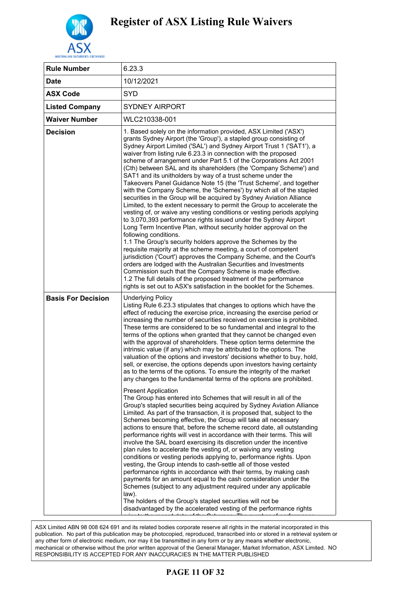

| <b>Rule Number</b>        | 6.23.3                                                                                                                                                                                                                                                                                                                                                                                                                                                                                                                                                                                                                                                                                                                                                                                                                                                                                                                                                                                                                                                                                                                                                                                                                                                                                                                                                                                                                                                                                                                           |
|---------------------------|----------------------------------------------------------------------------------------------------------------------------------------------------------------------------------------------------------------------------------------------------------------------------------------------------------------------------------------------------------------------------------------------------------------------------------------------------------------------------------------------------------------------------------------------------------------------------------------------------------------------------------------------------------------------------------------------------------------------------------------------------------------------------------------------------------------------------------------------------------------------------------------------------------------------------------------------------------------------------------------------------------------------------------------------------------------------------------------------------------------------------------------------------------------------------------------------------------------------------------------------------------------------------------------------------------------------------------------------------------------------------------------------------------------------------------------------------------------------------------------------------------------------------------|
| <b>Date</b>               | 10/12/2021                                                                                                                                                                                                                                                                                                                                                                                                                                                                                                                                                                                                                                                                                                                                                                                                                                                                                                                                                                                                                                                                                                                                                                                                                                                                                                                                                                                                                                                                                                                       |
| <b>ASX Code</b>           | <b>SYD</b>                                                                                                                                                                                                                                                                                                                                                                                                                                                                                                                                                                                                                                                                                                                                                                                                                                                                                                                                                                                                                                                                                                                                                                                                                                                                                                                                                                                                                                                                                                                       |
| <b>Listed Company</b>     | <b>SYDNEY AIRPORT</b>                                                                                                                                                                                                                                                                                                                                                                                                                                                                                                                                                                                                                                                                                                                                                                                                                                                                                                                                                                                                                                                                                                                                                                                                                                                                                                                                                                                                                                                                                                            |
| <b>Waiver Number</b>      | WLC210338-001                                                                                                                                                                                                                                                                                                                                                                                                                                                                                                                                                                                                                                                                                                                                                                                                                                                                                                                                                                                                                                                                                                                                                                                                                                                                                                                                                                                                                                                                                                                    |
| <b>Decision</b>           | 1. Based solely on the information provided, ASX Limited ('ASX')<br>grants Sydney Airport (the 'Group'), a stapled group consisting of<br>Sydney Airport Limited ('SAL') and Sydney Airport Trust 1 ('SAT1'), a<br>waiver from listing rule 6.23.3 in connection with the proposed<br>scheme of arrangement under Part 5.1 of the Corporations Act 2001<br>(Cth) between SAL and its shareholders (the 'Company Scheme') and<br>SAT1 and its unitholders by way of a trust scheme under the<br>Takeovers Panel Guidance Note 15 (the 'Trust Scheme', and together<br>with the Company Scheme, the 'Schemes') by which all of the stapled<br>securities in the Group will be acquired by Sydney Aviation Alliance<br>Limited, to the extent necessary to permit the Group to accelerate the<br>vesting of, or waive any vesting conditions or vesting periods applying<br>to 3,070,393 performance rights issued under the Sydney Airport<br>Long Term Incentive Plan, without security holder approval on the<br>following conditions.<br>1.1 The Group's security holders approve the Schemes by the<br>requisite majority at the scheme meeting, a court of competent<br>jurisdiction ('Court') approves the Company Scheme, and the Court's<br>orders are lodged with the Australian Securities and Investments<br>Commission such that the Company Scheme is made effective.<br>1.2 The full details of the proposed treatment of the performance<br>rights is set out to ASX's satisfaction in the booklet for the Schemes. |
| <b>Basis For Decision</b> | <b>Underlying Policy</b><br>Listing Rule 6.23.3 stipulates that changes to options which have the<br>effect of reducing the exercise price, increasing the exercise period or<br>increasing the number of securities received on exercise is prohibited.<br>These terms are considered to be so fundamental and integral to the<br>terms of the options when granted that they cannot be changed even<br>with the approval of shareholders. These option terms determine the<br>intrinsic value (if any) which may be attributed to the options. The<br>valuation of the options and investors' decisions whether to buy, hold,<br>sell, or exercise, the options depends upon investors having certainty<br>as to the terms of the options. To ensure the integrity of the market<br>any changes to the fundamental terms of the options are prohibited.                                                                                                                                                                                                                                                                                                                                                                                                                                                                                                                                                                                                                                                                        |
|                           | <b>Present Application</b><br>The Group has entered into Schemes that will result in all of the<br>Group's stapled securities being acquired by Sydney Aviation Alliance<br>Limited. As part of the transaction, it is proposed that, subject to the<br>Schemes becoming effective, the Group will take all necessary<br>actions to ensure that, before the scheme record date, all outstanding<br>performance rights will vest in accordance with their terms. This will<br>involve the SAL board exercising its discretion under the incentive<br>plan rules to accelerate the vesting of, or waiving any vesting<br>conditions or vesting periods applying to, performance rights. Upon<br>vesting, the Group intends to cash-settle all of those vested<br>performance rights in accordance with their terms, by making cash<br>payments for an amount equal to the cash consideration under the<br>Schemes (subject to any adjustment required under any applicable<br>law).<br>The holders of the Group's stapled securities will not be<br>disadvantaged by the accelerated vesting of the performance rights                                                                                                                                                                                                                                                                                                                                                                                                             |

.<br>ASX Limited ABN 98 008 624 691 and its related bodies corporate reserve all rights in the material incorporated in this publication. No part of this publication may be photocopied, reproduced, transcribed into or stored in a retrieval system or publication. any other form of electronic medium, nor may it be transmitted in any form or by any means whether electronic, mechanical or otherwise without the prior written approval of the General Manager, Market Information, ASX Limited. NO  $\overline{\phantom{a}}$  cor any inaccuracies in the matter published in the Schemes to  $\overline{\phantom{a}}$ RESPONSIBILITY IS ACCEPTED FOR ANY INACCURACIES IN THE MATTER PUBLISHED

## **PAGE 11 OF 32**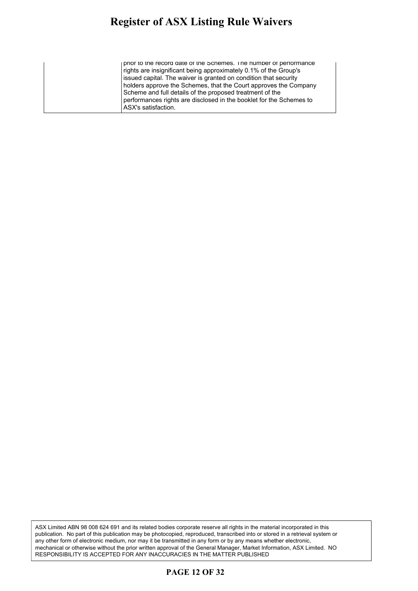#### **Register of ASX Listing Rule Waivers** pister of ASY Listing Rule Waivers pour of their ensuing truly which s

prior to the record date of the Schemes. The number of performance rights are insignificant being approximately 0.1% of the Group's issued capital. The waiver is granted on condition that security holders approve the Schemes, that the Court approves the Company Scheme and full details of the proposed treatment of the performances rights are disclosed in the booklet for the Schemes to ASX's satisfaction.

ASX Limited ABN 98 008 624 691 and its related bodies corporate reserve all rights in the material incorporated in this publication. No part of this publication may be photocopied, reproduced, transcribed into or stored in a retrieval system or any other form of electronic medium, nor may it be transmitted in any form or by any means whether electronic, mechanical or otherwise without the prior written approval of the General Manager, Market Information, ASX Limited. NO RESPONSIBILITY IS ACCEPTED FOR ANY INACCURACIES IN THE MATTER PUBLISHED

### **PAGE 12 OF 32**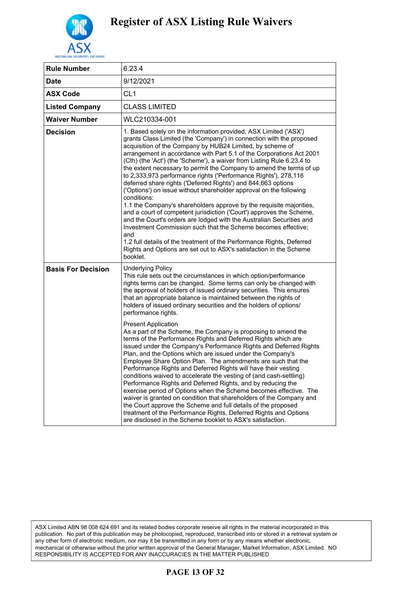

| <b>Rule Number</b>        | 6.23.4                                                                                                                                                                                                                                                                                                                                                                                                                                                                                                                                                                                                                                                                                                                                                                                                                                                                                                                                                                                                                                                                                                                                                                                                                                                                                                                           |
|---------------------------|----------------------------------------------------------------------------------------------------------------------------------------------------------------------------------------------------------------------------------------------------------------------------------------------------------------------------------------------------------------------------------------------------------------------------------------------------------------------------------------------------------------------------------------------------------------------------------------------------------------------------------------------------------------------------------------------------------------------------------------------------------------------------------------------------------------------------------------------------------------------------------------------------------------------------------------------------------------------------------------------------------------------------------------------------------------------------------------------------------------------------------------------------------------------------------------------------------------------------------------------------------------------------------------------------------------------------------|
| Date                      | 9/12/2021                                                                                                                                                                                                                                                                                                                                                                                                                                                                                                                                                                                                                                                                                                                                                                                                                                                                                                                                                                                                                                                                                                                                                                                                                                                                                                                        |
| <b>ASX Code</b>           | CL <sub>1</sub>                                                                                                                                                                                                                                                                                                                                                                                                                                                                                                                                                                                                                                                                                                                                                                                                                                                                                                                                                                                                                                                                                                                                                                                                                                                                                                                  |
| <b>Listed Company</b>     | <b>CLASS LIMITED</b>                                                                                                                                                                                                                                                                                                                                                                                                                                                                                                                                                                                                                                                                                                                                                                                                                                                                                                                                                                                                                                                                                                                                                                                                                                                                                                             |
| <b>Waiver Number</b>      | WLC210334-001                                                                                                                                                                                                                                                                                                                                                                                                                                                                                                                                                                                                                                                                                                                                                                                                                                                                                                                                                                                                                                                                                                                                                                                                                                                                                                                    |
| <b>Decision</b>           | 1. Based solely on the information provided, ASX Limited ('ASX')<br>grants Class Limited (the 'Company') in connection with the proposed<br>acquisition of the Company by HUB24 Limited, by scheme of<br>arrangement in accordance with Part 5.1 of the Corporations Act 2001<br>(Cth) (the 'Act') (the 'Scheme'), a waiver from Listing Rule 6.23.4 to<br>the extent necessary to permit the Company to amend the terms of up<br>to 2,333,973 performance rights ('Performance Rights'), 278,116<br>deferred share rights ('Deferred Rights') and 844,663 options<br>('Options') on issue without shareholder approval on the following<br>conditions:<br>1.1 the Company's shareholders approve by the requisite majorities,<br>and a court of competent jurisdiction ('Court') approves the Scheme,<br>and the Court's orders are lodged with the Australian Securities and<br>Investment Commission such that the Scheme becomes effective;<br>and<br>1.2 full details of the treatment of the Performance Rights, Deferred<br>Rights and Options are set out to ASX's satisfaction in the Scheme<br>booklet.                                                                                                                                                                                                                |
| <b>Basis For Decision</b> | <b>Underlying Policy</b><br>This rule sets out the circumstances in which option/performance<br>rights terms can be changed. Some terms can only be changed with<br>the approval of holders of issued ordinary securities. This ensures<br>that an appropriate balance is maintained between the rights of<br>holders of issued ordinary securities and the holders of options/<br>performance rights.<br><b>Present Application</b><br>As a part of the Scheme, the Company is proposing to amend the<br>terms of the Performance Rights and Deferred Rights which are<br>issued under the Company's Performance Rights and Deferred Rights<br>Plan, and the Options which are issued under the Company's<br>Employee Share Option Plan. The amendments are such that the<br>Performance Rights and Deferred Rights will have their vesting<br>conditions waived to accelerate the vesting of (and cash-settling)<br>Performance Rights and Deferred Rights, and by reducing the<br>exercise period of Options when the Scheme becomes effective. The<br>waiver is granted on condition that shareholders of the Company and<br>the Court approve the Scheme and full details of the proposed<br>treatment of the Performance Rights, Deferred Rights and Options<br>are disclosed in the Scheme booklet to ASX's satisfaction. |

### **PAGE 13 OF 32**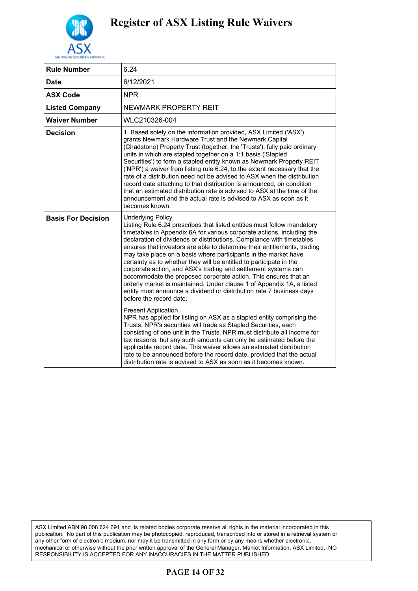

| <b>Rule Number</b>        | 6.24                                                                                                                                                                                                                                                                                                                                                                                                                                                                                                                                                                                                                                                                                                                                                                                          |
|---------------------------|-----------------------------------------------------------------------------------------------------------------------------------------------------------------------------------------------------------------------------------------------------------------------------------------------------------------------------------------------------------------------------------------------------------------------------------------------------------------------------------------------------------------------------------------------------------------------------------------------------------------------------------------------------------------------------------------------------------------------------------------------------------------------------------------------|
| <b>Date</b>               | 6/12/2021                                                                                                                                                                                                                                                                                                                                                                                                                                                                                                                                                                                                                                                                                                                                                                                     |
| <b>ASX Code</b>           | <b>NPR</b>                                                                                                                                                                                                                                                                                                                                                                                                                                                                                                                                                                                                                                                                                                                                                                                    |
| <b>Listed Company</b>     | NEWMARK PROPERTY REIT                                                                                                                                                                                                                                                                                                                                                                                                                                                                                                                                                                                                                                                                                                                                                                         |
| <b>Waiver Number</b>      | WLC210326-004                                                                                                                                                                                                                                                                                                                                                                                                                                                                                                                                                                                                                                                                                                                                                                                 |
| <b>Decision</b>           | 1. Based solely on the information provided, ASX Limited ('ASX')<br>grants Newmark Hardware Trust and the Newmark Capital<br>(Chadstone) Property Trust (together, the 'Trusts'), fully paid ordinary<br>units in which are stapled together on a 1:1 basis ('Stapled<br>Securities') to form a stapled entity known as Newmark Property REIT<br>('NPR') a waiver from listing rule 6.24, to the extent necessary that the<br>rate of a distribution need not be advised to ASX when the distribution<br>record date attaching to that distribution is announced, on condition<br>that an estimated distribution rate is advised to ASX at the time of the<br>announcement and the actual rate is advised to ASX as soon as it<br>becomes known.                                              |
| <b>Basis For Decision</b> | <b>Underlying Policy</b><br>Listing Rule 6.24 prescribes that listed entities must follow mandatory<br>timetables in Appendix 6A for various corporate actions, including the<br>declaration of dividends or distributions. Compliance with timetables<br>ensures that investors are able to determine their entitlements, trading<br>may take place on a basis where participants in the market have<br>certainty as to whether they will be entitled to participate in the<br>corporate action, and ASX's trading and settlement systems can<br>accommodate the proposed corporate action. This ensures that an<br>orderly market is maintained. Under clause 1 of Appendix 1A, a listed<br>entity must announce a dividend or distribution rate 7 business days<br>before the record date. |
|                           | <b>Present Application</b><br>NPR has applied for listing on ASX as a stapled entity comprising the<br>Trusts. NPR's securities will trade as Stapled Securities, each<br>consisting of one unit in the Trusts. NPR must distribute all income for<br>tax reasons, but any such amounts can only be estimated before the<br>applicable record date. This waiver allows an estimated distribution<br>rate to be announced before the record date, provided that the actual<br>distribution rate is advised to ASX as soon as it becomes known.                                                                                                                                                                                                                                                 |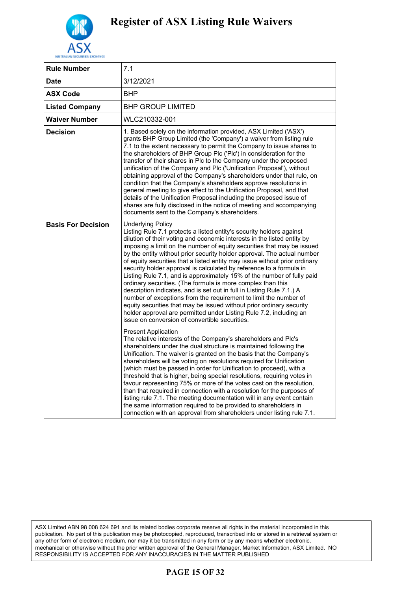

| <b>Rule Number</b>        | 7.1                                                                                                                                                                                                                                                                                                                                                                                                                                                                                                                                                                                                                                                                                                                                                                                                                                                                                                                                                                         |
|---------------------------|-----------------------------------------------------------------------------------------------------------------------------------------------------------------------------------------------------------------------------------------------------------------------------------------------------------------------------------------------------------------------------------------------------------------------------------------------------------------------------------------------------------------------------------------------------------------------------------------------------------------------------------------------------------------------------------------------------------------------------------------------------------------------------------------------------------------------------------------------------------------------------------------------------------------------------------------------------------------------------|
| <b>Date</b>               | 3/12/2021                                                                                                                                                                                                                                                                                                                                                                                                                                                                                                                                                                                                                                                                                                                                                                                                                                                                                                                                                                   |
| ASX Code                  | BHP                                                                                                                                                                                                                                                                                                                                                                                                                                                                                                                                                                                                                                                                                                                                                                                                                                                                                                                                                                         |
| <b>Listed Company</b>     | <b>BHP GROUP LIMITED</b>                                                                                                                                                                                                                                                                                                                                                                                                                                                                                                                                                                                                                                                                                                                                                                                                                                                                                                                                                    |
| Waiver Number             | WLC210332-001                                                                                                                                                                                                                                                                                                                                                                                                                                                                                                                                                                                                                                                                                                                                                                                                                                                                                                                                                               |
| Decision                  | 1. Based solely on the information provided, ASX Limited ('ASX')<br>grants BHP Group Limited (the 'Company') a waiver from listing rule<br>7.1 to the extent necessary to permit the Company to issue shares to<br>the shareholders of BHP Group Plc ('Plc') in consideration for the<br>transfer of their shares in Plc to the Company under the proposed<br>unification of the Company and Plc ('Unification Proposal'), without<br>obtaining approval of the Company's shareholders under that rule, on<br>condition that the Company's shareholders approve resolutions in<br>general meeting to give effect to the Unification Proposal, and that<br>details of the Unification Proposal including the proposed issue of<br>shares are fully disclosed in the notice of meeting and accompanying<br>documents sent to the Company's shareholders.                                                                                                                      |
| <b>Basis For Decision</b> | <b>Underlying Policy</b><br>Listing Rule 7.1 protects a listed entity's security holders against<br>dilution of their voting and economic interests in the listed entity by<br>imposing a limit on the number of equity securities that may be issued<br>by the entity without prior security holder approval. The actual number<br>of equity securities that a listed entity may issue without prior ordinary<br>security holder approval is calculated by reference to a formula in<br>Listing Rule 7.1, and is approximately 15% of the number of fully paid<br>ordinary securities. (The formula is more complex than this<br>description indicates, and is set out in full in Listing Rule 7.1.) A<br>number of exceptions from the requirement to limit the number of<br>equity securities that may be issued without prior ordinary security<br>holder approval are permitted under Listing Rule 7.2, including an<br>issue on conversion of convertible securities. |
|                           | <b>Present Application</b><br>The relative interests of the Company's shareholders and Plc's<br>shareholders under the dual structure is maintained following the<br>Unification. The waiver is granted on the basis that the Company's<br>shareholders will be voting on resolutions required for Unification<br>(which must be passed in order for Unification to proceed), with a<br>threshold that is higher, being special resolutions, requiring votes in<br>favour representing 75% or more of the votes cast on the resolution,<br>than that required in connection with a resolution for the purposes of<br>listing rule 7.1. The meeting documentation will in any event contain<br>the same information required to be provided to shareholders in<br>connection with an approval from shareholders under listing rule 7.1.                                                                                                                                      |

### **PAGE 15 OF 32**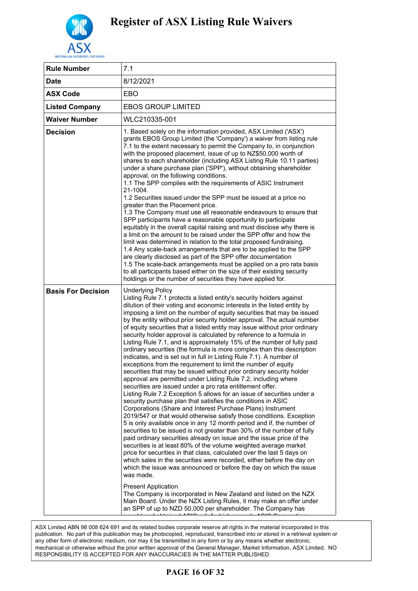

| <b>Rule Number</b>        | 7.1                                                                                                                                                                                                                                                                                                                                                                                                                                                                                                                                                                                                                                                                                                                                                                                                                                                                                                                                                                                                                                                                                                                                                                                                                                                                                                                                                                                                                                                                                                                                                                                                                                                                                                                                                                                                                                                                                                                                                                                                                                                    |
|---------------------------|--------------------------------------------------------------------------------------------------------------------------------------------------------------------------------------------------------------------------------------------------------------------------------------------------------------------------------------------------------------------------------------------------------------------------------------------------------------------------------------------------------------------------------------------------------------------------------------------------------------------------------------------------------------------------------------------------------------------------------------------------------------------------------------------------------------------------------------------------------------------------------------------------------------------------------------------------------------------------------------------------------------------------------------------------------------------------------------------------------------------------------------------------------------------------------------------------------------------------------------------------------------------------------------------------------------------------------------------------------------------------------------------------------------------------------------------------------------------------------------------------------------------------------------------------------------------------------------------------------------------------------------------------------------------------------------------------------------------------------------------------------------------------------------------------------------------------------------------------------------------------------------------------------------------------------------------------------------------------------------------------------------------------------------------------------|
| <b>Date</b>               | 8/12/2021                                                                                                                                                                                                                                                                                                                                                                                                                                                                                                                                                                                                                                                                                                                                                                                                                                                                                                                                                                                                                                                                                                                                                                                                                                                                                                                                                                                                                                                                                                                                                                                                                                                                                                                                                                                                                                                                                                                                                                                                                                              |
| <b>ASX Code</b>           | EBO                                                                                                                                                                                                                                                                                                                                                                                                                                                                                                                                                                                                                                                                                                                                                                                                                                                                                                                                                                                                                                                                                                                                                                                                                                                                                                                                                                                                                                                                                                                                                                                                                                                                                                                                                                                                                                                                                                                                                                                                                                                    |
| <b>Listed Company</b>     | <b>EBOS GROUP LIMITED</b>                                                                                                                                                                                                                                                                                                                                                                                                                                                                                                                                                                                                                                                                                                                                                                                                                                                                                                                                                                                                                                                                                                                                                                                                                                                                                                                                                                                                                                                                                                                                                                                                                                                                                                                                                                                                                                                                                                                                                                                                                              |
| <b>Waiver Number</b>      | WLC210335-001                                                                                                                                                                                                                                                                                                                                                                                                                                                                                                                                                                                                                                                                                                                                                                                                                                                                                                                                                                                                                                                                                                                                                                                                                                                                                                                                                                                                                                                                                                                                                                                                                                                                                                                                                                                                                                                                                                                                                                                                                                          |
| <b>Decision</b>           | 1. Based solely on the information provided, ASX Limited ('ASX')<br>grants EBOS Group Limited (the 'Company') a waiver from listing rule<br>7.1 to the extent necessary to permit the Company to, in conjunction<br>with the proposed placement, issue of up to NZ\$50,000 worth of<br>shares to each shareholder (including ASX Listing Rule 10.11 parties)<br>under a share purchase plan ('SPP'), without obtaining shareholder<br>approval, on the following conditions.<br>1.1 The SPP complies with the requirements of ASIC Instrument<br>21-1004.<br>1.2 Securities issued under the SPP must be issued at a price no<br>greater than the Placement price.<br>1.3 The Company must use all reasonable endeavours to ensure that<br>SPP participants have a reasonable opportunity to participate<br>equitably in the overall capital raising and must disclose why there is<br>a limit on the amount to be raised under the SPP offer and how the<br>limit was determined in relation to the total proposed fundraising.<br>1.4 Any scale-back arrangements that are to be applied to the SPP<br>are clearly disclosed as part of the SPP offer documentation<br>1.5 The scale-back arrangements must be applied on a pro rata basis<br>to all participants based either on the size of their existing security<br>holdings or the number of securities they have applied for.                                                                                                                                                                                                                                                                                                                                                                                                                                                                                                                                                                                                                                                                 |
| <b>Basis For Decision</b> | <b>Underlying Policy</b><br>Listing Rule 7.1 protects a listed entity's security holders against<br>dilution of their voting and economic interests in the listed entity by<br>imposing a limit on the number of equity securities that may be issued<br>by the entity without prior security holder approval. The actual number<br>of equity securities that a listed entity may issue without prior ordinary<br>security holder approval is calculated by reference to a formula in<br>Listing Rule 7.1, and is approximately 15% of the number of fully paid<br>ordinary securities (the formula is more complex than this description<br>indicates, and is set out in full in Listing Rule 7.1). A number of<br>exceptions from the requirement to limit the number of equity<br>securities that may be issued without prior ordinary security holder<br>approval are permitted under Listing Rule 7.2, including where<br>securities are issued under a pro rata entitlement offer.<br>Listing Rule 7.2 Exception 5 allows for an issue of securities under a<br>security purchase plan that satisfies the conditions in ASIC<br>Corporations (Share and Interest Purchase Plans) Instrument<br>2019/547 or that would otherwise satisfy those conditions. Exception<br>5 is only available once in any 12 month period and if, the number of<br>securities to be issued is not greater than 30% of the number of fully<br>paid ordinary securities already on issue and the issue price of the<br>securities is at least 80% of the volume weighted average market<br>price for securities in that class, calculated over the last 5 days on<br>which sales in the securities were recorded, either before the day on<br>which the issue was announced or before the day on which the issue<br>was made.<br><b>Present Application</b><br>The Company is incorporated in New Zealand and listed on the NZX<br>Main Board. Under the NZX Listing Rules, it may make an offer under<br>an SPP of up to NZD 50,000 per shareholder. The Company has |

#### $\bf{N}$  of  $\bf{N}$  or  $\bf{N}$  and  $\bf{N}$ **PAGE 16 OF 32**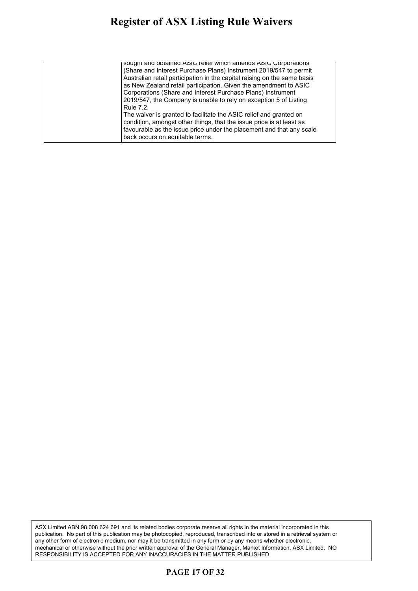| sought and obtained ASIC relief which amends ASIC Corporations           |
|--------------------------------------------------------------------------|
| (Share and Interest Purchase Plans) Instrument 2019/547 to permit        |
| Australian retail participation in the capital raising on the same basis |
| as New Zealand retail participation. Given the amendment to ASIC         |
| Corporations (Share and Interest Purchase Plans) Instrument              |
| 2019/547, the Company is unable to rely on exception 5 of Listing        |
| Rule 7.2.                                                                |
| The waiver is granted to facilitate the ASIC relief and granted on       |
| condition, amongst other things, that the issue price is at least as     |
| favourable as the issue price under the placement and that any scale     |
| back occurs on equitable terms.                                          |
|                                                                          |

ASX Limited ABN 98 008 624 691 and its related bodies corporate reserve all rights in the material incorporated in this publication. No part of this publication may be photocopied, reproduced, transcribed into or stored in a retrieval system or any other form of electronic medium, nor may it be transmitted in any form or by any means whether electronic, mechanical or otherwise without the prior written approval of the General Manager, Market Information, ASX Limited. NO RESPONSIBILITY IS ACCEPTED FOR ANY INACCURACIES IN THE MATTER PUBLISHED

### **PAGE 17 OF 32**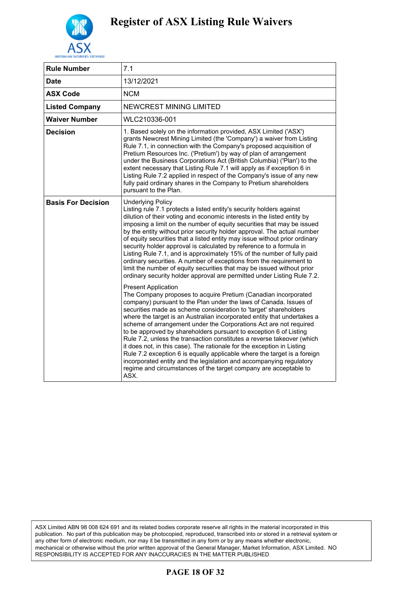

| <b>Rule Number</b>        | 7.1                                                                                                                                                                                                                                                                                                                                                                                                                                                                                                                                                                                                                                                                                                                                                                                                                                           |
|---------------------------|-----------------------------------------------------------------------------------------------------------------------------------------------------------------------------------------------------------------------------------------------------------------------------------------------------------------------------------------------------------------------------------------------------------------------------------------------------------------------------------------------------------------------------------------------------------------------------------------------------------------------------------------------------------------------------------------------------------------------------------------------------------------------------------------------------------------------------------------------|
| Date                      | 13/12/2021                                                                                                                                                                                                                                                                                                                                                                                                                                                                                                                                                                                                                                                                                                                                                                                                                                    |
| <b>ASX Code</b>           | <b>NCM</b>                                                                                                                                                                                                                                                                                                                                                                                                                                                                                                                                                                                                                                                                                                                                                                                                                                    |
| <b>Listed Company</b>     | <b>NEWCREST MINING LIMITED</b>                                                                                                                                                                                                                                                                                                                                                                                                                                                                                                                                                                                                                                                                                                                                                                                                                |
| <b>Waiver Number</b>      | WLC210336-001                                                                                                                                                                                                                                                                                                                                                                                                                                                                                                                                                                                                                                                                                                                                                                                                                                 |
| <b>Decision</b>           | 1. Based solely on the information provided, ASX Limited ('ASX')<br>grants Newcrest Mining Limited (the 'Company') a waiver from Listing<br>Rule 7.1, in connection with the Company's proposed acquisition of<br>Pretium Resources Inc. ('Pretium') by way of plan of arrangement<br>under the Business Corporations Act (British Columbia) ('Plan') to the<br>extent necessary that Listing Rule 7.1 will apply as if exception 6 in<br>Listing Rule 7.2 applied in respect of the Company's issue of any new<br>fully paid ordinary shares in the Company to Pretium shareholders<br>pursuant to the Plan.                                                                                                                                                                                                                                 |
| <b>Basis For Decision</b> | <b>Underlying Policy</b><br>Listing rule 7.1 protects a listed entity's security holders against<br>dilution of their voting and economic interests in the listed entity by<br>imposing a limit on the number of equity securities that may be issued<br>by the entity without prior security holder approval. The actual number<br>of equity securities that a listed entity may issue without prior ordinary<br>security holder approval is calculated by reference to a formula in<br>Listing Rule 7.1, and is approximately 15% of the number of fully paid<br>ordinary securities. A number of exceptions from the requirement to<br>limit the number of equity securities that may be issued without prior<br>ordinary security holder approval are permitted under Listing Rule 7.2.                                                   |
|                           | <b>Present Application</b><br>The Company proposes to acquire Pretium (Canadian incorporated<br>company) pursuant to the Plan under the laws of Canada. Issues of<br>securities made as scheme consideration to 'target' shareholders<br>where the target is an Australian incorporated entity that undertakes a<br>scheme of arrangement under the Corporations Act are not required<br>to be approved by shareholders pursuant to exception 6 of Listing<br>Rule 7.2, unless the transaction constitutes a reverse takeover (which<br>it does not, in this case). The rationale for the exception in Listing<br>Rule 7.2 exception 6 is equally applicable where the target is a foreign<br>incorporated entity and the legislation and accompanying regulatory<br>regime and circumstances of the target company are acceptable to<br>ASX. |

### **PAGE 18 OF 32**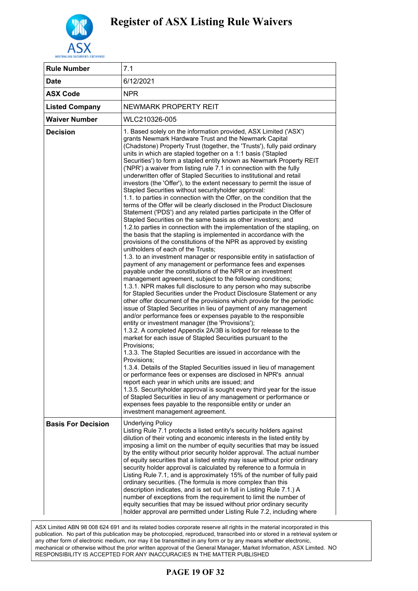

| <b>Rule Number</b>        | 7.1                                                                                                                                                                                                                                                                                                                                                                                                                                                                                                                                                                                                                                                                                                                                                                                                                                                                                                                                                                                                                                                                                                                                                                                                                                                                                                                                                                                                                                                                                                                                                                                                                                                                                                                                                                                                                                                                                                                                                                                                                                                                                                                                                                                                                                                                                                                                                                                                                                                                                                                                                             |
|---------------------------|-----------------------------------------------------------------------------------------------------------------------------------------------------------------------------------------------------------------------------------------------------------------------------------------------------------------------------------------------------------------------------------------------------------------------------------------------------------------------------------------------------------------------------------------------------------------------------------------------------------------------------------------------------------------------------------------------------------------------------------------------------------------------------------------------------------------------------------------------------------------------------------------------------------------------------------------------------------------------------------------------------------------------------------------------------------------------------------------------------------------------------------------------------------------------------------------------------------------------------------------------------------------------------------------------------------------------------------------------------------------------------------------------------------------------------------------------------------------------------------------------------------------------------------------------------------------------------------------------------------------------------------------------------------------------------------------------------------------------------------------------------------------------------------------------------------------------------------------------------------------------------------------------------------------------------------------------------------------------------------------------------------------------------------------------------------------------------------------------------------------------------------------------------------------------------------------------------------------------------------------------------------------------------------------------------------------------------------------------------------------------------------------------------------------------------------------------------------------------------------------------------------------------------------------------------------------|
| Date                      | 6/12/2021                                                                                                                                                                                                                                                                                                                                                                                                                                                                                                                                                                                                                                                                                                                                                                                                                                                                                                                                                                                                                                                                                                                                                                                                                                                                                                                                                                                                                                                                                                                                                                                                                                                                                                                                                                                                                                                                                                                                                                                                                                                                                                                                                                                                                                                                                                                                                                                                                                                                                                                                                       |
| <b>ASX Code</b>           | <b>NPR</b>                                                                                                                                                                                                                                                                                                                                                                                                                                                                                                                                                                                                                                                                                                                                                                                                                                                                                                                                                                                                                                                                                                                                                                                                                                                                                                                                                                                                                                                                                                                                                                                                                                                                                                                                                                                                                                                                                                                                                                                                                                                                                                                                                                                                                                                                                                                                                                                                                                                                                                                                                      |
| <b>Listed Company</b>     | NEWMARK PROPERTY REIT                                                                                                                                                                                                                                                                                                                                                                                                                                                                                                                                                                                                                                                                                                                                                                                                                                                                                                                                                                                                                                                                                                                                                                                                                                                                                                                                                                                                                                                                                                                                                                                                                                                                                                                                                                                                                                                                                                                                                                                                                                                                                                                                                                                                                                                                                                                                                                                                                                                                                                                                           |
| <b>Waiver Number</b>      | WLC210326-005                                                                                                                                                                                                                                                                                                                                                                                                                                                                                                                                                                                                                                                                                                                                                                                                                                                                                                                                                                                                                                                                                                                                                                                                                                                                                                                                                                                                                                                                                                                                                                                                                                                                                                                                                                                                                                                                                                                                                                                                                                                                                                                                                                                                                                                                                                                                                                                                                                                                                                                                                   |
| <b>Decision</b>           | 1. Based solely on the information provided, ASX Limited ('ASX')<br>grants Newmark Hardware Trust and the Newmark Capital<br>(Chadstone) Property Trust (together, the 'Trusts'), fully paid ordinary<br>units in which are stapled together on a 1:1 basis ('Stapled<br>Securities') to form a stapled entity known as Newmark Property REIT<br>('NPR') a waiver from listing rule 7.1 in connection with the fully<br>underwritten offer of Stapled Securities to institutional and retail<br>investors (the 'Offer'), to the extent necessary to permit the issue of<br>Stapled Securities without securityholder approval:<br>1.1. to parties in connection with the Offer, on the condition that the<br>terms of the Offer will be clearly disclosed in the Product Disclosure<br>Statement ('PDS') and any related parties participate in the Offer of<br>Stapled Securities on the same basis as other investors; and<br>1.2.to parties in connection with the implementation of the stapling, on<br>the basis that the stapling is implemented in accordance with the<br>provisions of the constitutions of the NPR as approved by existing<br>unitholders of each of the Trusts;<br>1.3. to an investment manager or responsible entity in satisfaction of<br>payment of any management or performance fees and expenses<br>payable under the constitutions of the NPR or an investment<br>management agreement, subject to the following conditions;<br>1.3.1. NPR makes full disclosure to any person who may subscribe<br>for Stapled Securities under the Product Disclosure Statement or any<br>other offer document of the provisions which provide for the periodic<br>issue of Stapled Securities in lieu of payment of any management<br>and/or performance fees or expenses payable to the responsible<br>entity or investment manager (the 'Provisions');<br>1.3.2. A completed Appendix 2A/3B is lodged for release to the<br>market for each issue of Stapled Securities pursuant to the<br>Provisions:<br>1.3.3. The Stapled Securities are issued in accordance with the<br>Provisions:<br>1.3.4. Details of the Stapled Securities issued in lieu of management<br>or performance fees or expenses are disclosed in NPR's annual<br>report each year in which units are issued; and<br>1.3.5. Securityholder approval is sought every third year for the issue<br>of Stapled Securities in lieu of any management or performance or<br>expenses fees payable to the responsible entity or under an<br>investment management agreement. |
| <b>Basis For Decision</b> | <b>Underlying Policy</b><br>Listing Rule 7.1 protects a listed entity's security holders against<br>dilution of their voting and economic interests in the listed entity by<br>imposing a limit on the number of equity securities that may be issued<br>by the entity without prior security holder approval. The actual number<br>of equity securities that a listed entity may issue without prior ordinary<br>security holder approval is calculated by reference to a formula in<br>Listing Rule 7.1, and is approximately 15% of the number of fully paid<br>ordinary securities. (The formula is more complex than this<br>description indicates, and is set out in full in Listing Rule 7.1.) A<br>number of exceptions from the requirement to limit the number of<br>equity securities that may be issued without prior ordinary security<br>holder approval are permitted under Listing Rule 7.2, including where                                                                                                                                                                                                                                                                                                                                                                                                                                                                                                                                                                                                                                                                                                                                                                                                                                                                                                                                                                                                                                                                                                                                                                                                                                                                                                                                                                                                                                                                                                                                                                                                                                    |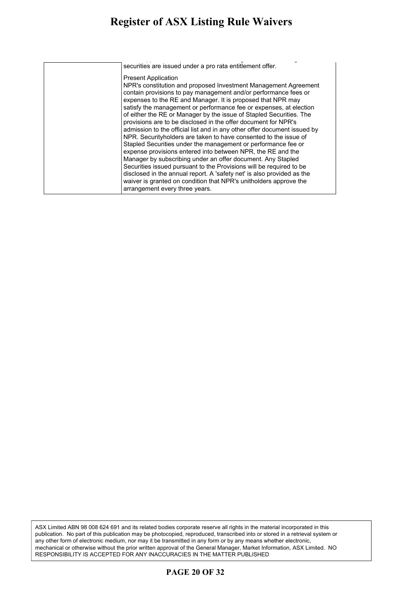#### **Register of ASX Listing Rule Waivers** gister of ASX Listing Rule Waivers ordinary securities. (The formula is more complex than this more complex than this more complex than this more complex than this more complex than this more complex than this more complex than this more complex than this

|                                                                                                                                                                                                                                                                                                                                                                                                                                                                                                                                                                                                                                                                                                                                                                                                                                                                                                                                                                                                                         | securities are issued under a pro rata entitlement offer. |
|-------------------------------------------------------------------------------------------------------------------------------------------------------------------------------------------------------------------------------------------------------------------------------------------------------------------------------------------------------------------------------------------------------------------------------------------------------------------------------------------------------------------------------------------------------------------------------------------------------------------------------------------------------------------------------------------------------------------------------------------------------------------------------------------------------------------------------------------------------------------------------------------------------------------------------------------------------------------------------------------------------------------------|-----------------------------------------------------------|
| NPR's constitution and proposed Investment Management Agreement<br>contain provisions to pay management and/or performance fees or<br>expenses to the RE and Manager. It is proposed that NPR may<br>satisfy the management or performance fee or expenses, at election<br>of either the RE or Manager by the issue of Stapled Securities. The<br>provisions are to be disclosed in the offer document for NPR's<br>admission to the official list and in any other offer document issued by<br>NPR. Securityholders are taken to have consented to the issue of<br>Stapled Securities under the management or performance fee or<br>expense provisions entered into between NPR, the RE and the<br>Manager by subscribing under an offer document. Any Stapled<br>Securities issued pursuant to the Provisions will be required to be<br>disclosed in the annual report. A 'safety net' is also provided as the<br>waiver is granted on condition that NPR's unitholders approve the<br>arrangement every three years. | <b>Present Application</b>                                |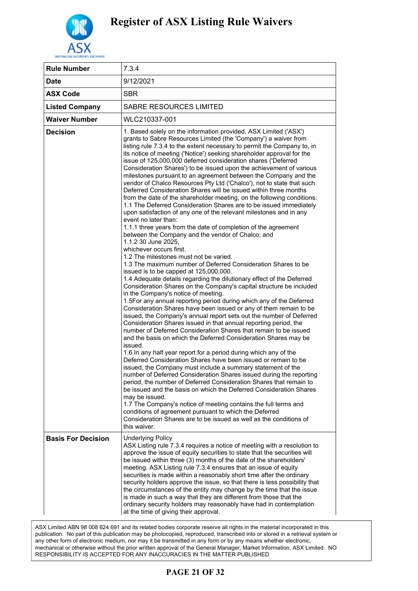

| 7.3.4                                                                                                                                                                                                                                                                                                                                                                                                                                                                                                                                                                                                                                                                                                                                                                                                                                                                                                                                                                                                                                                                                                                                                                                                                                                                                                                                                                                                                                                                                                                                                                                                                                                                                                                                                                                                                                                                                                                                                                                                                                                                                                                                                                                                                                                                                                                                                                                                                                                                                                                    |
|--------------------------------------------------------------------------------------------------------------------------------------------------------------------------------------------------------------------------------------------------------------------------------------------------------------------------------------------------------------------------------------------------------------------------------------------------------------------------------------------------------------------------------------------------------------------------------------------------------------------------------------------------------------------------------------------------------------------------------------------------------------------------------------------------------------------------------------------------------------------------------------------------------------------------------------------------------------------------------------------------------------------------------------------------------------------------------------------------------------------------------------------------------------------------------------------------------------------------------------------------------------------------------------------------------------------------------------------------------------------------------------------------------------------------------------------------------------------------------------------------------------------------------------------------------------------------------------------------------------------------------------------------------------------------------------------------------------------------------------------------------------------------------------------------------------------------------------------------------------------------------------------------------------------------------------------------------------------------------------------------------------------------------------------------------------------------------------------------------------------------------------------------------------------------------------------------------------------------------------------------------------------------------------------------------------------------------------------------------------------------------------------------------------------------------------------------------------------------------------------------------------------------|
| 9/12/2021                                                                                                                                                                                                                                                                                                                                                                                                                                                                                                                                                                                                                                                                                                                                                                                                                                                                                                                                                                                                                                                                                                                                                                                                                                                                                                                                                                                                                                                                                                                                                                                                                                                                                                                                                                                                                                                                                                                                                                                                                                                                                                                                                                                                                                                                                                                                                                                                                                                                                                                |
| <b>SBR</b>                                                                                                                                                                                                                                                                                                                                                                                                                                                                                                                                                                                                                                                                                                                                                                                                                                                                                                                                                                                                                                                                                                                                                                                                                                                                                                                                                                                                                                                                                                                                                                                                                                                                                                                                                                                                                                                                                                                                                                                                                                                                                                                                                                                                                                                                                                                                                                                                                                                                                                               |
| <b>SABRE RESOURCES LIMITED</b>                                                                                                                                                                                                                                                                                                                                                                                                                                                                                                                                                                                                                                                                                                                                                                                                                                                                                                                                                                                                                                                                                                                                                                                                                                                                                                                                                                                                                                                                                                                                                                                                                                                                                                                                                                                                                                                                                                                                                                                                                                                                                                                                                                                                                                                                                                                                                                                                                                                                                           |
| WLC210337-001                                                                                                                                                                                                                                                                                                                                                                                                                                                                                                                                                                                                                                                                                                                                                                                                                                                                                                                                                                                                                                                                                                                                                                                                                                                                                                                                                                                                                                                                                                                                                                                                                                                                                                                                                                                                                                                                                                                                                                                                                                                                                                                                                                                                                                                                                                                                                                                                                                                                                                            |
| 1. Based solely on the information provided, ASX Limited ('ASX')<br>grants to Sabre Resources Limited (the 'Company') a waiver from<br>listing rule 7.3.4 to the extent necessary to permit the Company to, in<br>its notice of meeting ('Notice') seeking shareholder approval for the<br>issue of 125,000,000 deferred consideration shares ('Deferred<br>Consideration Shares') to be issued upon the achievement of various<br>milestones pursuant to an agreement between the Company and the<br>vendor of Chalco Resources Pty Ltd ('Chalco'), not to state that such<br>Deferred Consideration Shares will be issued within three months<br>from the date of the shareholder meeting, on the following conditions:<br>1.1 The Deferred Consideration Shares are to be issued immediately<br>upon satisfaction of any one of the relevant milestones and in any<br>event no later than:<br>1.1.1 three years from the date of completion of the agreement<br>between the Company and the vendor of Chalco; and<br>1.1.2 30 June 2025,<br>whichever occurs first.<br>1.2 The milestones must not be varied.<br>1.3 The maximum number of Deferred Consideration Shares to be<br>issued is to be capped at 125,000,000.<br>1.4 Adequate details regarding the dilutionary effect of the Deferred<br>Consideration Shares on the Company's capital structure be included<br>in the Company's notice of meeting.<br>1.5For any annual reporting period during which any of the Deferred<br>Consideration Shares have been issued or any of them remain to be<br>issued, the Company's annual report sets out the number of Deferred<br>Consideration Shares issued in that annual reporting period, the<br>number of Deferred Consideration Shares that remain to be issued<br>and the basis on which the Deferred Consideration Shares may be<br>issued.<br>1.6 In any half year report for a period during which any of the<br>Deferred Consideration Shares have been issued or remain to be<br>issued, the Company must include a summary statement of the<br>number of Deferred Consideration Shares issued during the reporting<br>period, the number of Deferred Consideration Shares that remain to<br>be issued and the basis on which the Deferred Consideration Shares<br>may be issued.<br>1.7 The Company's notice of meeting contains the full terms and<br>conditions of agreement pursuant to which the Deferred<br>Consideration Shares are to be issued as well as the conditions of<br>this waiver. |
| <b>Underlying Policy</b><br>ASX Listing rule 7.3.4 requires a notice of meeting with a resolution to<br>approve the issue of equity securities to state that the securities will<br>be issued within three (3) months of the date of the shareholders'<br>meeting. ASX Listing rule 7.3.4 ensures that an issue of equity<br>securities is made within a reasonably short time after the ordinary<br>security holders approve the issue, so that there is less possibility that<br>the circumstances of the entity may change by the time that the issue<br>is made in such a way that they are different from those that the<br>ordinary security holders may reasonably have had in contemplation<br>at the time of giving their approval.                                                                                                                                                                                                                                                                                                                                                                                                                                                                                                                                                                                                                                                                                                                                                                                                                                                                                                                                                                                                                                                                                                                                                                                                                                                                                                                                                                                                                                                                                                                                                                                                                                                                                                                                                                             |
|                                                                                                                                                                                                                                                                                                                                                                                                                                                                                                                                                                                                                                                                                                                                                                                                                                                                                                                                                                                                                                                                                                                                                                                                                                                                                                                                                                                                                                                                                                                                                                                                                                                                                                                                                                                                                                                                                                                                                                                                                                                                                                                                                                                                                                                                                                                                                                                                                                                                                                                          |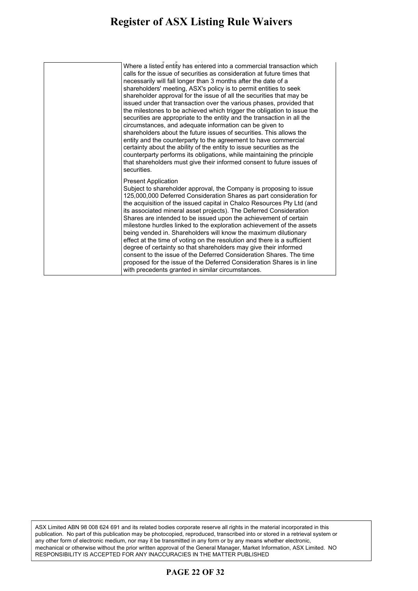#### **Register of ASX Listing Rule Waivers** gister of ASA Listing Rule Waivers security holders approve the issue, so that there is less possibility that

| Where a listed entity has entered into a commercial transaction which<br>calls for the issue of securities as consideration at future times that<br>necessarily will fall longer than 3 months after the date of a<br>shareholders' meeting, ASX's policy is to permit entities to seek<br>shareholder approval for the issue of all the securities that may be<br>issued under that transaction over the various phases, provided that<br>the milestones to be achieved which trigger the obligation to issue the<br>securities are appropriate to the entity and the transaction in all the<br>circumstances, and adequate information can be given to<br>shareholders about the future issues of securities. This allows the<br>entity and the counterparty to the agreement to have commercial<br>certainty about the ability of the entity to issue securities as the<br>counterparty performs its obligations, while maintaining the principle<br>that shareholders must give their informed consent to future issues of<br>securities. |
|-----------------------------------------------------------------------------------------------------------------------------------------------------------------------------------------------------------------------------------------------------------------------------------------------------------------------------------------------------------------------------------------------------------------------------------------------------------------------------------------------------------------------------------------------------------------------------------------------------------------------------------------------------------------------------------------------------------------------------------------------------------------------------------------------------------------------------------------------------------------------------------------------------------------------------------------------------------------------------------------------------------------------------------------------|
| <b>Present Application</b><br>Subject to shareholder approval, the Company is proposing to issue<br>125,000,000 Deferred Consideration Shares as part consideration for<br>the acquisition of the issued capital in Chalco Resources Pty Ltd (and<br>its associated mineral asset projects). The Deferred Consideration<br>Shares are intended to be issued upon the achievement of certain<br>milestone hurdles linked to the exploration achievement of the assets<br>being vended in. Shareholders will know the maximum dilutionary<br>effect at the time of voting on the resolution and there is a sufficient<br>degree of certainty so that shareholders may give their informed<br>consent to the issue of the Deferred Consideration Shares. The time<br>proposed for the issue of the Deferred Consideration Shares is in line<br>with precedents granted in similar circumstances.                                                                                                                                                 |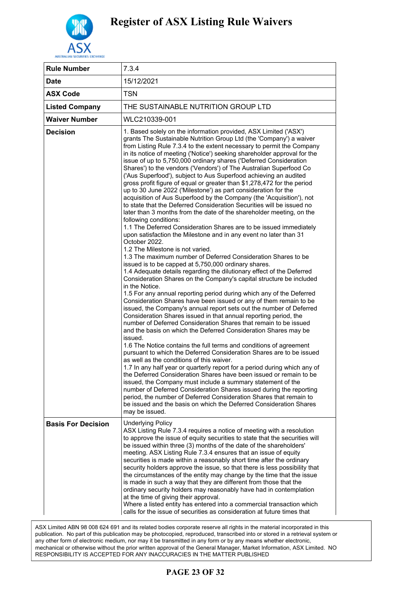

| <b>Rule Number</b>        | 7.3.4                                                                                                                                                                                                                                                                                                                                                                                                                                                                                                                                                                                                                                                                                                                                                                                                                                                                                                                                                                                                                                                                                                                                                                                                                                                                                                                                                                                                                                                                                                                                                                                                                                                                                                                                                                                                                                                                                                                                                                                                                                                                                                                                                                                                                                                                                                                                                                                                                                                                                             |
|---------------------------|---------------------------------------------------------------------------------------------------------------------------------------------------------------------------------------------------------------------------------------------------------------------------------------------------------------------------------------------------------------------------------------------------------------------------------------------------------------------------------------------------------------------------------------------------------------------------------------------------------------------------------------------------------------------------------------------------------------------------------------------------------------------------------------------------------------------------------------------------------------------------------------------------------------------------------------------------------------------------------------------------------------------------------------------------------------------------------------------------------------------------------------------------------------------------------------------------------------------------------------------------------------------------------------------------------------------------------------------------------------------------------------------------------------------------------------------------------------------------------------------------------------------------------------------------------------------------------------------------------------------------------------------------------------------------------------------------------------------------------------------------------------------------------------------------------------------------------------------------------------------------------------------------------------------------------------------------------------------------------------------------------------------------------------------------------------------------------------------------------------------------------------------------------------------------------------------------------------------------------------------------------------------------------------------------------------------------------------------------------------------------------------------------------------------------------------------------------------------------------------------------|
| <b>Date</b>               | 15/12/2021                                                                                                                                                                                                                                                                                                                                                                                                                                                                                                                                                                                                                                                                                                                                                                                                                                                                                                                                                                                                                                                                                                                                                                                                                                                                                                                                                                                                                                                                                                                                                                                                                                                                                                                                                                                                                                                                                                                                                                                                                                                                                                                                                                                                                                                                                                                                                                                                                                                                                        |
| <b>ASX Code</b>           | TSN                                                                                                                                                                                                                                                                                                                                                                                                                                                                                                                                                                                                                                                                                                                                                                                                                                                                                                                                                                                                                                                                                                                                                                                                                                                                                                                                                                                                                                                                                                                                                                                                                                                                                                                                                                                                                                                                                                                                                                                                                                                                                                                                                                                                                                                                                                                                                                                                                                                                                               |
| <b>Listed Company</b>     | THE SUSTAINABLE NUTRITION GROUP LTD                                                                                                                                                                                                                                                                                                                                                                                                                                                                                                                                                                                                                                                                                                                                                                                                                                                                                                                                                                                                                                                                                                                                                                                                                                                                                                                                                                                                                                                                                                                                                                                                                                                                                                                                                                                                                                                                                                                                                                                                                                                                                                                                                                                                                                                                                                                                                                                                                                                               |
| <b>Waiver Number</b>      | WLC210339-001                                                                                                                                                                                                                                                                                                                                                                                                                                                                                                                                                                                                                                                                                                                                                                                                                                                                                                                                                                                                                                                                                                                                                                                                                                                                                                                                                                                                                                                                                                                                                                                                                                                                                                                                                                                                                                                                                                                                                                                                                                                                                                                                                                                                                                                                                                                                                                                                                                                                                     |
| <b>Decision</b>           | 1. Based solely on the information provided, ASX Limited ('ASX')<br>grants The Sustainable Nutrition Group Ltd (the 'Company') a waiver<br>from Listing Rule 7.3.4 to the extent necessary to permit the Company<br>in its notice of meeting ('Notice') seeking shareholder approval for the<br>issue of up to 5,750,000 ordinary shares ('Deferred Consideration<br>Shares') to the vendors ('Vendors') of The Australian Superfood Co<br>('Aus Superfood'), subject to Aus Superfood achieving an audited<br>gross profit figure of equal or greater than \$1,278,472 for the period<br>up to 30 June 2022 ('Milestone') as part consideration for the<br>acquisition of Aus Superfood by the Company (the 'Acquisition'), not<br>to state that the Deferred Consideration Securities will be issued no<br>later than 3 months from the date of the shareholder meeting, on the<br>following conditions:<br>1.1 The Deferred Consideration Shares are to be issued immediately<br>upon satisfaction the Milestone and in any event no later than 31<br>October 2022.<br>1.2 The Milestone is not varied.<br>1.3 The maximum number of Deferred Consideration Shares to be<br>issued is to be capped at 5,750,000 ordinary shares.<br>1.4 Adequate details regarding the dilutionary effect of the Deferred<br>Consideration Shares on the Company's capital structure be included<br>in the Notice.<br>1.5 For any annual reporting period during which any of the Deferred<br>Consideration Shares have been issued or any of them remain to be<br>issued, the Company's annual report sets out the number of Deferred<br>Consideration Shares issued in that annual reporting period, the<br>number of Deferred Consideration Shares that remain to be issued<br>and the basis on which the Deferred Consideration Shares may be<br>issued.<br>1.6 The Notice contains the full terms and conditions of agreement<br>pursuant to which the Deferred Consideration Shares are to be issued<br>as well as the conditions of this waiver.<br>1.7 In any half year or quarterly report for a period during which any of<br>the Deferred Consideration Shares have been issued or remain to be<br>issued, the Company must include a summary statement of the<br>number of Deferred Consideration Shares issued during the reporting<br>period, the number of Deferred Consideration Shares that remain to<br>be issued and the basis on which the Deferred Consideration Shares<br>may be issued. |
| <b>Basis For Decision</b> | Underlying Policy<br>ASX Listing Rule 7.3.4 requires a notice of meeting with a resolution<br>to approve the issue of equity securities to state that the securities will<br>be issued within three (3) months of the date of the shareholders'<br>meeting. ASX Listing Rule 7.3.4 ensures that an issue of equity<br>securities is made within a reasonably short time after the ordinary<br>security holders approve the issue, so that there is less possibility that<br>the circumstances of the entity may change by the time that the issue<br>is made in such a way that they are different from those that the<br>ordinary security holders may reasonably have had in contemplation<br>at the time of giving their approval.<br>Where a listed entity has entered into a commercial transaction which<br>calls for the issue of securities as consideration at future times that                                                                                                                                                                                                                                                                                                                                                                                                                                                                                                                                                                                                                                                                                                                                                                                                                                                                                                                                                                                                                                                                                                                                                                                                                                                                                                                                                                                                                                                                                                                                                                                                         |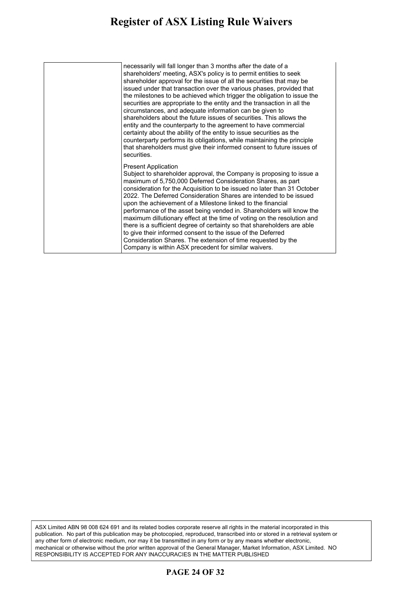#### **Register of ASX Listing Rule Waivers** gister of ASX Listing Rule Waivers is made in such a way that they are different from the  $\sim$

| necessarily will fall longer than 3 months after the date of a<br>shareholders' meeting, ASX's policy is to permit entities to seek<br>shareholder approval for the issue of all the securities that may be<br>issued under that transaction over the various phases, provided that<br>the milestones to be achieved which trigger the obligation to issue the<br>securities are appropriate to the entity and the transaction in all the<br>circumstances, and adequate information can be given to<br>shareholders about the future issues of securities. This allows the<br>entity and the counterparty to the agreement to have commercial<br>certainty about the ability of the entity to issue securities as the<br>counterparty performs its obligations, while maintaining the principle<br>that shareholders must give their informed consent to future issues of<br>securities. |
|-------------------------------------------------------------------------------------------------------------------------------------------------------------------------------------------------------------------------------------------------------------------------------------------------------------------------------------------------------------------------------------------------------------------------------------------------------------------------------------------------------------------------------------------------------------------------------------------------------------------------------------------------------------------------------------------------------------------------------------------------------------------------------------------------------------------------------------------------------------------------------------------|
| <b>Present Application</b><br>Subject to shareholder approval, the Company is proposing to issue a<br>maximum of 5,750,000 Deferred Consideration Shares, as part<br>consideration for the Acquisition to be issued no later than 31 October<br>2022. The Deferred Consideration Shares are intended to be issued<br>upon the achievement of a Milestone linked to the financial<br>performance of the asset being vended in. Shareholders will know the<br>maximum dillutionary effect at the time of voting on the resolution and<br>there is a sufficient degree of certainty so that shareholders are able<br>to give their informed consent to the issue of the Deferred<br>Consideration Shares. The extension of time requested by the<br>Company is within ASX precedent for similar waivers.                                                                                     |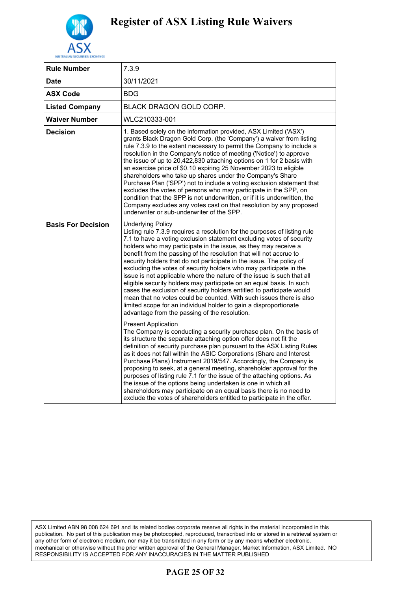

| <b>Rule Number</b>        | 7.3.9                                                                                                                                                                                                                                                                                                                                                                                                                                                                                                                                                                                                                                                                                                                                                                                                                                                                                        |
|---------------------------|----------------------------------------------------------------------------------------------------------------------------------------------------------------------------------------------------------------------------------------------------------------------------------------------------------------------------------------------------------------------------------------------------------------------------------------------------------------------------------------------------------------------------------------------------------------------------------------------------------------------------------------------------------------------------------------------------------------------------------------------------------------------------------------------------------------------------------------------------------------------------------------------|
| <b>Date</b>               | 30/11/2021                                                                                                                                                                                                                                                                                                                                                                                                                                                                                                                                                                                                                                                                                                                                                                                                                                                                                   |
| <b>ASX Code</b>           | <b>BDG</b>                                                                                                                                                                                                                                                                                                                                                                                                                                                                                                                                                                                                                                                                                                                                                                                                                                                                                   |
| <b>Listed Company</b>     | BLACK DRAGON GOLD CORP.                                                                                                                                                                                                                                                                                                                                                                                                                                                                                                                                                                                                                                                                                                                                                                                                                                                                      |
| <b>Waiver Number</b>      | WLC210333-001                                                                                                                                                                                                                                                                                                                                                                                                                                                                                                                                                                                                                                                                                                                                                                                                                                                                                |
| <b>Decision</b>           | 1. Based solely on the information provided, ASX Limited ('ASX')<br>grants Black Dragon Gold Corp. (the 'Company') a waiver from listing<br>rule 7.3.9 to the extent necessary to permit the Company to include a<br>resolution in the Company's notice of meeting ('Notice') to approve<br>the issue of up to 20,422,830 attaching options on 1 for 2 basis with<br>an exercise price of \$0.10 expiring 25 November 2023 to eligible<br>shareholders who take up shares under the Company's Share<br>Purchase Plan ('SPP') not to include a voting exclusion statement that<br>excludes the votes of persons who may participate in the SPP, on<br>condition that the SPP is not underwritten, or if it is underwritten, the<br>Company excludes any votes cast on that resolution by any proposed<br>underwriter or sub-underwriter of the SPP.                                           |
| <b>Basis For Decision</b> | <b>Underlying Policy</b><br>Listing rule 7.3.9 requires a resolution for the purposes of listing rule<br>7.1 to have a voting exclusion statement excluding votes of security<br>holders who may participate in the issue, as they may receive a<br>benefit from the passing of the resolution that will not accrue to<br>security holders that do not participate in the issue. The policy of<br>excluding the votes of security holders who may participate in the<br>issue is not applicable where the nature of the issue is such that all<br>eligible security holders may participate on an equal basis. In such<br>cases the exclusion of security holders entitled to participate would<br>mean that no votes could be counted. With such issues there is also<br>limited scope for an individual holder to gain a disproportionate<br>advantage from the passing of the resolution. |
|                           | <b>Present Application</b><br>The Company is conducting a security purchase plan. On the basis of<br>its structure the separate attaching option offer does not fit the<br>definition of security purchase plan pursuant to the ASX Listing Rules<br>as it does not fall within the ASIC Corporations (Share and Interest<br>Purchase Plans) Instrument 2019/547. Accordingly, the Company is<br>proposing to seek, at a general meeting, shareholder approval for the<br>purposes of listing rule 7.1 for the issue of the attaching options. As<br>the issue of the options being undertaken is one in which all<br>shareholders may participate on an equal basis there is no need to<br>exclude the votes of shareholders entitled to participate in the offer.                                                                                                                          |

### **PAGE 25 OF 32**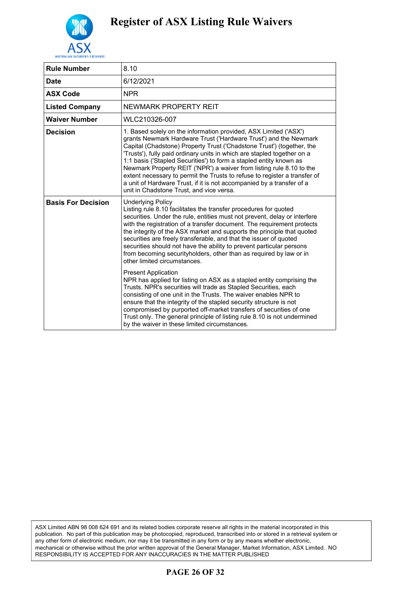

| <b>Rule Number</b>        | 8.10                                                                                                                                                                                                                                                                                                                                                                                                                                                                                                                                                                                                                                     |
|---------------------------|------------------------------------------------------------------------------------------------------------------------------------------------------------------------------------------------------------------------------------------------------------------------------------------------------------------------------------------------------------------------------------------------------------------------------------------------------------------------------------------------------------------------------------------------------------------------------------------------------------------------------------------|
| <b>Date</b>               | 6/12/2021                                                                                                                                                                                                                                                                                                                                                                                                                                                                                                                                                                                                                                |
| <b>ASX Code</b>           | <b>NPR</b>                                                                                                                                                                                                                                                                                                                                                                                                                                                                                                                                                                                                                               |
| <b>Listed Company</b>     | NEWMARK PROPERTY REIT                                                                                                                                                                                                                                                                                                                                                                                                                                                                                                                                                                                                                    |
| <b>Waiver Number</b>      | WLC210326-007                                                                                                                                                                                                                                                                                                                                                                                                                                                                                                                                                                                                                            |
| <b>Decision</b>           | 1. Based solely on the information provided, ASX Limited ('ASX')<br>grants Newmark Hardware Trust ('Hardware Trust') and the Newmark<br>Capital (Chadstone) Property Trust ('Chadstone Trust') (together, the<br>'Trusts'), fully paid ordinary units in which are stapled together on a<br>1:1 basis ('Stapled Securities') to form a stapled entity known as<br>Newmark Property REIT ('NPR') a waiver from listing rule 8.10 to the<br>extent necessary to permit the Trusts to refuse to register a transfer of<br>a unit of Hardware Trust, if it is not accompanied by a transfer of a<br>unit in Chadstone Trust, and vice versa. |
| <b>Basis For Decision</b> | <b>Underlying Policy</b><br>Listing rule 8.10 facilitates the transfer procedures for quoted<br>securities. Under the rule, entities must not prevent, delay or interfere<br>with the registration of a transfer document. The requirement protects<br>the integrity of the ASX market and supports the principle that quoted<br>securities are freely transferable, and that the issuer of quoted<br>securities should not have the ability to prevent particular persons<br>from becoming securityholders, other than as required by law or in<br>other limited circumstances.                                                         |
|                           | <b>Present Application</b><br>NPR has applied for listing on ASX as a stapled entity comprising the<br>Trusts. NPR's securities will trade as Stapled Securities, each<br>consisting of one unit in the Trusts. The waiver enables NPR to<br>ensure that the integrity of the stapled security structure is not<br>compromised by purported off-market transfers of securities of one<br>Trust only. The general principle of listing rule 8.10 is not undermined<br>by the waiver in these limited circumstances.                                                                                                                       |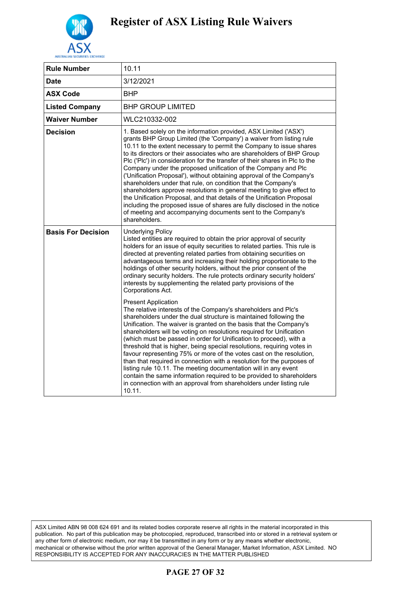

| <b>Rule Number</b>        | 10.11                                                                                                                                                                                                                                                                                                                                                                                                                                                                                                                                                                                                                                                                                                                                                                                                                                                                                             |
|---------------------------|---------------------------------------------------------------------------------------------------------------------------------------------------------------------------------------------------------------------------------------------------------------------------------------------------------------------------------------------------------------------------------------------------------------------------------------------------------------------------------------------------------------------------------------------------------------------------------------------------------------------------------------------------------------------------------------------------------------------------------------------------------------------------------------------------------------------------------------------------------------------------------------------------|
| <b>Date</b>               | 3/12/2021                                                                                                                                                                                                                                                                                                                                                                                                                                                                                                                                                                                                                                                                                                                                                                                                                                                                                         |
| <b>ASX Code</b>           | BHP                                                                                                                                                                                                                                                                                                                                                                                                                                                                                                                                                                                                                                                                                                                                                                                                                                                                                               |
| <b>Listed Company</b>     | <b>BHP GROUP LIMITED</b>                                                                                                                                                                                                                                                                                                                                                                                                                                                                                                                                                                                                                                                                                                                                                                                                                                                                          |
| <b>Waiver Number</b>      | WLC210332-002                                                                                                                                                                                                                                                                                                                                                                                                                                                                                                                                                                                                                                                                                                                                                                                                                                                                                     |
| <b>Decision</b>           | 1. Based solely on the information provided, ASX Limited ('ASX')<br>grants BHP Group Limited (the 'Company') a waiver from listing rule<br>10.11 to the extent necessary to permit the Company to issue shares<br>to its directors or their associates who are shareholders of BHP Group<br>Plc ('Plc') in consideration for the transfer of their shares in Plc to the<br>Company under the proposed unification of the Company and Plc<br>('Unification Proposal'), without obtaining approval of the Company's<br>shareholders under that rule, on condition that the Company's<br>shareholders approve resolutions in general meeting to give effect to<br>the Unification Proposal, and that details of the Unification Proposal<br>including the proposed issue of shares are fully disclosed in the notice<br>of meeting and accompanying documents sent to the Company's<br>shareholders. |
| <b>Basis For Decision</b> | <b>Underlying Policy</b><br>Listed entities are required to obtain the prior approval of security<br>holders for an issue of equity securities to related parties. This rule is<br>directed at preventing related parties from obtaining securities on<br>advantageous terms and increasing their holding proportionate to the<br>holdings of other security holders, without the prior consent of the<br>ordinary security holders. The rule protects ordinary security holders'<br>interests by supplementing the related party provisions of the<br>Corporations Act.                                                                                                                                                                                                                                                                                                                          |
|                           | <b>Present Application</b><br>The relative interests of the Company's shareholders and Plc's<br>shareholders under the dual structure is maintained following the<br>Unification. The waiver is granted on the basis that the Company's<br>shareholders will be voting on resolutions required for Unification<br>(which must be passed in order for Unification to proceed), with a<br>threshold that is higher, being special resolutions, requiring votes in<br>favour representing 75% or more of the votes cast on the resolution,<br>than that required in connection with a resolution for the purposes of<br>listing rule 10.11. The meeting documentation will in any event<br>contain the same information required to be provided to shareholders<br>in connection with an approval from shareholders under listing rule<br>10.11.                                                     |

### **PAGE 27 OF 32**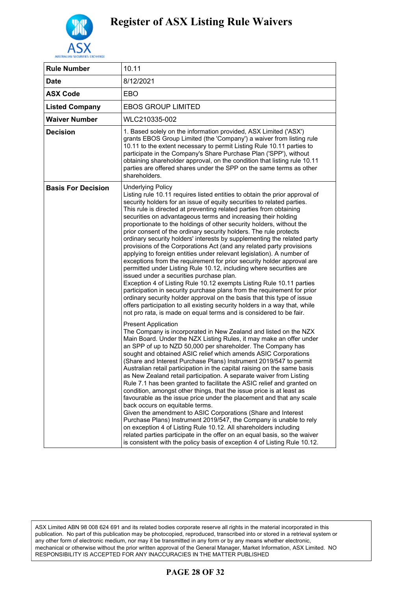

| <b>Rule Number</b>        | 10.11                                                                                                                                                                                                                                                                                                                                                                                                                                                                                                                                                                                                                                                                                                                                                                                                                                                                                                                                                                                                                                                                                                                                                                                                                                                                          |
|---------------------------|--------------------------------------------------------------------------------------------------------------------------------------------------------------------------------------------------------------------------------------------------------------------------------------------------------------------------------------------------------------------------------------------------------------------------------------------------------------------------------------------------------------------------------------------------------------------------------------------------------------------------------------------------------------------------------------------------------------------------------------------------------------------------------------------------------------------------------------------------------------------------------------------------------------------------------------------------------------------------------------------------------------------------------------------------------------------------------------------------------------------------------------------------------------------------------------------------------------------------------------------------------------------------------|
| <b>Date</b>               | 8/12/2021                                                                                                                                                                                                                                                                                                                                                                                                                                                                                                                                                                                                                                                                                                                                                                                                                                                                                                                                                                                                                                                                                                                                                                                                                                                                      |
| <b>ASX Code</b>           | EBO                                                                                                                                                                                                                                                                                                                                                                                                                                                                                                                                                                                                                                                                                                                                                                                                                                                                                                                                                                                                                                                                                                                                                                                                                                                                            |
| <b>Listed Company</b>     | <b>EBOS GROUP LIMITED</b>                                                                                                                                                                                                                                                                                                                                                                                                                                                                                                                                                                                                                                                                                                                                                                                                                                                                                                                                                                                                                                                                                                                                                                                                                                                      |
| <b>Waiver Number</b>      | WLC210335-002                                                                                                                                                                                                                                                                                                                                                                                                                                                                                                                                                                                                                                                                                                                                                                                                                                                                                                                                                                                                                                                                                                                                                                                                                                                                  |
| <b>Decision</b>           | 1. Based solely on the information provided, ASX Limited ('ASX')<br>grants EBOS Group Limited (the 'Company') a waiver from listing rule<br>10.11 to the extent necessary to permit Listing Rule 10.11 parties to<br>participate in the Company's Share Purchase Plan ('SPP'), without<br>obtaining shareholder approval, on the condition that listing rule 10.11<br>parties are offered shares under the SPP on the same terms as other<br>shareholders.                                                                                                                                                                                                                                                                                                                                                                                                                                                                                                                                                                                                                                                                                                                                                                                                                     |
| <b>Basis For Decision</b> | <b>Underlying Policy</b><br>Listing rule 10.11 requires listed entities to obtain the prior approval of<br>security holders for an issue of equity securities to related parties.<br>This rule is directed at preventing related parties from obtaining<br>securities on advantageous terms and increasing their holding<br>proportionate to the holdings of other security holders, without the<br>prior consent of the ordinary security holders. The rule protects<br>ordinary security holders' interests by supplementing the related party<br>provisions of the Corporations Act (and any related party provisions<br>applying to foreign entities under relevant legislation). A number of<br>exceptions from the requirement for prior security holder approval are<br>permitted under Listing Rule 10.12, including where securities are<br>issued under a securities purchase plan.<br>Exception 4 of Listing Rule 10.12 exempts Listing Rule 10.11 parties<br>participation in security purchase plans from the requirement for prior<br>ordinary security holder approval on the basis that this type of issue<br>offers participation to all existing security holders in a way that, while<br>not pro rata, is made on equal terms and is considered to be fair. |
|                           | <b>Present Application</b><br>The Company is incorporated in New Zealand and listed on the NZX<br>Main Board. Under the NZX Listing Rules, it may make an offer under<br>an SPP of up to NZD 50,000 per shareholder. The Company has<br>sought and obtained ASIC relief which amends ASIC Corporations<br>(Share and Interest Purchase Plans) Instrument 2019/547 to permit<br>Australian retail participation in the capital raising on the same basis<br>as New Zealand retail participation. A separate waiver from Listing<br>Rule 7.1 has been granted to facilitate the ASIC relief and granted on<br>condition, amongst other things, that the issue price is at least as<br>favourable as the issue price under the placement and that any scale<br>back occurs on equitable terms.<br>Given the amendment to ASIC Corporations (Share and Interest<br>Purchase Plans) Instrument 2019/547, the Company is unable to rely<br>on exception 4 of Listing Rule 10.12. All shareholders including<br>related parties participate in the offer on an equal basis, so the waiver<br>is consistent with the policy basis of exception 4 of Listing Rule 10.12.                                                                                                                |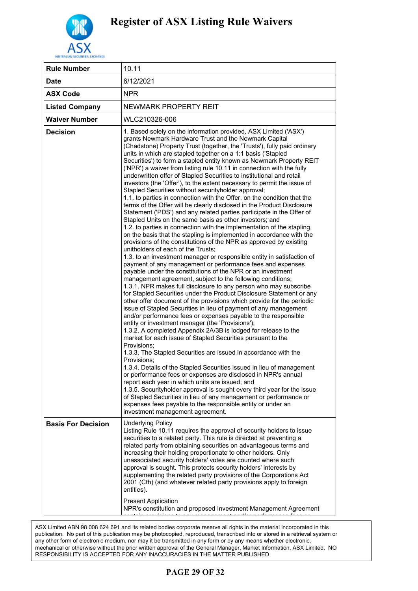

| <b>Rule Number</b>        | 10.11                                                                                                                                                                                                                                                                                                                                                                                                                                                                                                                                                                                                                                                                                                                                                                                                                                                                                                                                                                                                                                                                                                                                                                                                                                                                                                                                                                                                                                                                                                                                                                                                                                                                                                                                                                                                                                                                                                                                                                                                                                                                                                                                                                                                                                                                                                                                                                                                                                                                                                                                                         |
|---------------------------|---------------------------------------------------------------------------------------------------------------------------------------------------------------------------------------------------------------------------------------------------------------------------------------------------------------------------------------------------------------------------------------------------------------------------------------------------------------------------------------------------------------------------------------------------------------------------------------------------------------------------------------------------------------------------------------------------------------------------------------------------------------------------------------------------------------------------------------------------------------------------------------------------------------------------------------------------------------------------------------------------------------------------------------------------------------------------------------------------------------------------------------------------------------------------------------------------------------------------------------------------------------------------------------------------------------------------------------------------------------------------------------------------------------------------------------------------------------------------------------------------------------------------------------------------------------------------------------------------------------------------------------------------------------------------------------------------------------------------------------------------------------------------------------------------------------------------------------------------------------------------------------------------------------------------------------------------------------------------------------------------------------------------------------------------------------------------------------------------------------------------------------------------------------------------------------------------------------------------------------------------------------------------------------------------------------------------------------------------------------------------------------------------------------------------------------------------------------------------------------------------------------------------------------------------------------|
| <b>Date</b>               | 6/12/2021                                                                                                                                                                                                                                                                                                                                                                                                                                                                                                                                                                                                                                                                                                                                                                                                                                                                                                                                                                                                                                                                                                                                                                                                                                                                                                                                                                                                                                                                                                                                                                                                                                                                                                                                                                                                                                                                                                                                                                                                                                                                                                                                                                                                                                                                                                                                                                                                                                                                                                                                                     |
| <b>ASX Code</b>           | <b>NPR</b>                                                                                                                                                                                                                                                                                                                                                                                                                                                                                                                                                                                                                                                                                                                                                                                                                                                                                                                                                                                                                                                                                                                                                                                                                                                                                                                                                                                                                                                                                                                                                                                                                                                                                                                                                                                                                                                                                                                                                                                                                                                                                                                                                                                                                                                                                                                                                                                                                                                                                                                                                    |
| <b>Listed Company</b>     | NEWMARK PROPERTY REIT                                                                                                                                                                                                                                                                                                                                                                                                                                                                                                                                                                                                                                                                                                                                                                                                                                                                                                                                                                                                                                                                                                                                                                                                                                                                                                                                                                                                                                                                                                                                                                                                                                                                                                                                                                                                                                                                                                                                                                                                                                                                                                                                                                                                                                                                                                                                                                                                                                                                                                                                         |
| <b>Waiver Number</b>      | WLC210326-006                                                                                                                                                                                                                                                                                                                                                                                                                                                                                                                                                                                                                                                                                                                                                                                                                                                                                                                                                                                                                                                                                                                                                                                                                                                                                                                                                                                                                                                                                                                                                                                                                                                                                                                                                                                                                                                                                                                                                                                                                                                                                                                                                                                                                                                                                                                                                                                                                                                                                                                                                 |
| <b>Decision</b>           | 1. Based solely on the information provided, ASX Limited ('ASX')<br>grants Newmark Hardware Trust and the Newmark Capital<br>(Chadstone) Property Trust (together, the 'Trusts'), fully paid ordinary<br>units in which are stapled together on a 1:1 basis ('Stapled<br>Securities') to form a stapled entity known as Newmark Property REIT<br>('NPR') a waiver from listing rule 10.11 in connection with the fully<br>underwritten offer of Stapled Securities to institutional and retail<br>investors (the 'Offer'), to the extent necessary to permit the issue of<br>Stapled Securities without securityholder approval;<br>1.1. to parties in connection with the Offer, on the condition that the<br>terms of the Offer will be clearly disclosed in the Product Disclosure<br>Statement ('PDS') and any related parties participate in the Offer of<br>Stapled Units on the same basis as other investors; and<br>1.2. to parties in connection with the implementation of the stapling,<br>on the basis that the stapling is implemented in accordance with the<br>provisions of the constitutions of the NPR as approved by existing<br>unitholders of each of the Trusts;<br>1.3. to an investment manager or responsible entity in satisfaction of<br>payment of any management or performance fees and expenses<br>payable under the constitutions of the NPR or an investment<br>management agreement, subject to the following conditions;<br>1.3.1. NPR makes full disclosure to any person who may subscribe<br>for Stapled Securities under the Product Disclosure Statement or any<br>other offer document of the provisions which provide for the periodic<br>issue of Stapled Securities in lieu of payment of any management<br>and/or performance fees or expenses payable to the responsible<br>entity or investment manager (the 'Provisions');<br>1.3.2. A completed Appendix 2A/3B is lodged for release to the<br>market for each issue of Stapled Securities pursuant to the<br>Provisions;<br>1.3.3. The Stapled Securities are issued in accordance with the<br>Provisions:<br>1.3.4. Details of the Stapled Securities issued in lieu of management<br>or performance fees or expenses are disclosed in NPR's annual<br>report each year in which units are issued; and<br>1.3.5. Securityholder approval is sought every third year for the issue<br>of Stapled Securities in lieu of any management or performance or<br>expenses fees payable to the responsible entity or under an<br>investment management agreement. |
| <b>Basis For Decision</b> | <b>Underlying Policy</b><br>Listing Rule 10.11 requires the approval of security holders to issue<br>securities to a related party. This rule is directed at preventing a<br>related party from obtaining securities on advantageous terms and<br>increasing their holding proportionate to other holders. Only<br>unassociated security holders' votes are counted where such<br>approval is sought. This protects security holders' interests by<br>supplementing the related party provisions of the Corporations Act<br>2001 (Cth) (and whatever related party provisions apply to foreign<br>entities).                                                                                                                                                                                                                                                                                                                                                                                                                                                                                                                                                                                                                                                                                                                                                                                                                                                                                                                                                                                                                                                                                                                                                                                                                                                                                                                                                                                                                                                                                                                                                                                                                                                                                                                                                                                                                                                                                                                                                  |
|                           | <b>Present Application</b><br>NPR's constitution and proposed Investment Management Agreement                                                                                                                                                                                                                                                                                                                                                                                                                                                                                                                                                                                                                                                                                                                                                                                                                                                                                                                                                                                                                                                                                                                                                                                                                                                                                                                                                                                                                                                                                                                                                                                                                                                                                                                                                                                                                                                                                                                                                                                                                                                                                                                                                                                                                                                                                                                                                                                                                                                                 |

.<br>ASX Limited ABN 98 008 624 691 and its related bodies corporate reserve all rights in the material incorporated in this publication. No part of this publication may be photocopied, reproduced, transcribed into or stored in a retrieval system or publication. provision. The part of the provision may be proceeding, represents, the included into the croce in a removal by any other form of electronic, mechanical or otherwise without the prior written approval of the General Manager, Market Information, ASX Limited. NO RESPONSIBILITY IS ACCEPTED FOR ANY INACCURACIES IN THE MATTER PUBLISHED  $S_{\rm eff}$  are taken to take taken to take taken to the issue of  $S_{\rm eff}$  are taken to the issue of  $S_{\rm eff}$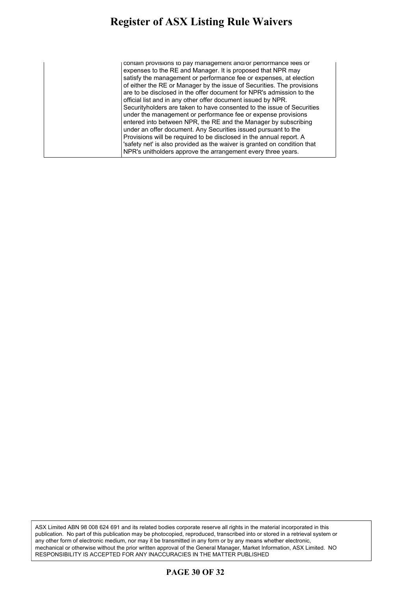contain provisions to pay management and/or performance fees or expenses to the RE and Manager. It is proposed that NPR may satisfy the management or performance fee or expenses, at election of either the RE or Manager by the issue of Securities. The provisions are to be disclosed in the offer document for NPR's admission to the official list and in any other offer document issued by NPR. Securityholders are taken to have consented to the issue of Securities under the management or performance fee or expense provisions entered into between NPR, the RE and the Manager by subscribing under an offer document. Any Securities issued pursuant to the Provisions will be required to be disclosed in the annual report. A 'safety net' is also provided as the waiver is granted on condition that NPR's unitholders approve the arrangement every three years.

ASX Limited ABN 98 008 624 691 and its related bodies corporate reserve all rights in the material incorporated in this publication. No part of this publication may be photocopied, reproduced, transcribed into or stored in a retrieval system or any other form of electronic medium, nor may it be transmitted in any form or by any means whether electronic, mechanical or otherwise without the prior written approval of the General Manager, Market Information, ASX Limited. NO RESPONSIBILITY IS ACCEPTED FOR ANY INACCURACIES IN THE MATTER PUBLISHED

### **PAGE 30 OF 32**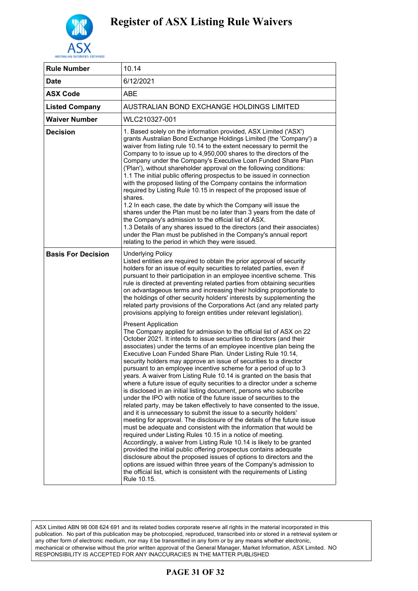

| <b>Rule Number</b>        | 10.14                                                                                                                                                                                                                                                                                                                                                                                                                                                                                                                                                                                                                                                                                                                                                                                                                                                                                                                                                                                                                                                                                                                                                                                                                                                                                                                                                                                                                                                                                                       |
|---------------------------|-------------------------------------------------------------------------------------------------------------------------------------------------------------------------------------------------------------------------------------------------------------------------------------------------------------------------------------------------------------------------------------------------------------------------------------------------------------------------------------------------------------------------------------------------------------------------------------------------------------------------------------------------------------------------------------------------------------------------------------------------------------------------------------------------------------------------------------------------------------------------------------------------------------------------------------------------------------------------------------------------------------------------------------------------------------------------------------------------------------------------------------------------------------------------------------------------------------------------------------------------------------------------------------------------------------------------------------------------------------------------------------------------------------------------------------------------------------------------------------------------------------|
| <b>Date</b>               | 6/12/2021                                                                                                                                                                                                                                                                                                                                                                                                                                                                                                                                                                                                                                                                                                                                                                                                                                                                                                                                                                                                                                                                                                                                                                                                                                                                                                                                                                                                                                                                                                   |
| <b>ASX Code</b>           | ABE                                                                                                                                                                                                                                                                                                                                                                                                                                                                                                                                                                                                                                                                                                                                                                                                                                                                                                                                                                                                                                                                                                                                                                                                                                                                                                                                                                                                                                                                                                         |
| <b>Listed Company</b>     | AUSTRALIAN BOND EXCHANGE HOLDINGS LIMITED                                                                                                                                                                                                                                                                                                                                                                                                                                                                                                                                                                                                                                                                                                                                                                                                                                                                                                                                                                                                                                                                                                                                                                                                                                                                                                                                                                                                                                                                   |
| <b>Waiver Number</b>      | WLC210327-001                                                                                                                                                                                                                                                                                                                                                                                                                                                                                                                                                                                                                                                                                                                                                                                                                                                                                                                                                                                                                                                                                                                                                                                                                                                                                                                                                                                                                                                                                               |
| Decision                  | 1. Based solely on the information provided, ASX Limited ('ASX')<br>grants Australian Bond Exchange Holdings Limited (the 'Company') a<br>waiver from listing rule 10.14 to the extent necessary to permit the<br>Company to to issue up to 4,950,000 shares to the directors of the<br>Company under the Company's Executive Loan Funded Share Plan<br>('Plan'), without shareholder approval on the following conditions:<br>1.1 The initial public offering prospectus to be issued in connection<br>with the proposed listing of the Company contains the information<br>required by Listing Rule 10.15 in respect of the proposed issue of<br>shares.<br>1.2 In each case, the date by which the Company will issue the<br>shares under the Plan must be no later than 3 years from the date of<br>the Company's admission to the official list of ASX.<br>1.3 Details of any shares issued to the directors (and their associates)<br>under the Plan must be published in the Company's annual report<br>relating to the period in which they were issued.                                                                                                                                                                                                                                                                                                                                                                                                                                            |
| <b>Basis For Decision</b> | <b>Underlying Policy</b><br>Listed entities are required to obtain the prior approval of security<br>holders for an issue of equity securities to related parties, even if<br>pursuant to their participation in an employee incentive scheme. This<br>rule is directed at preventing related parties from obtaining securities<br>on advantageous terms and increasing their holding proportionate to<br>the holdings of other security holders' interests by supplementing the<br>related party provisions of the Corporations Act (and any related party<br>provisions applying to foreign entities under relevant legislation).                                                                                                                                                                                                                                                                                                                                                                                                                                                                                                                                                                                                                                                                                                                                                                                                                                                                         |
|                           | <b>Present Application</b><br>The Company applied for admission to the official list of ASX on 22<br>October 2021. It intends to issue securities to directors (and their<br>associates) under the terms of an employee incentive plan being the<br>Executive Loan Funded Share Plan. Under Listing Rule 10.14,<br>security holders may approve an issue of securities to a director<br>pursuant to an employee incentive scheme for a period of up to 3<br>years. A waiver from Listing Rule 10.14 is granted on the basis that<br>where a future issue of equity securities to a director under a scheme<br>is disclosed in an initial listing document, persons who subscribe<br>under the IPO with notice of the future issue of securities to the<br>related party, may be taken effectively to have consented to the issue,<br>and it is unnecessary to submit the issue to a security holders'<br>meeting for approval. The disclosure of the details of the future issue<br>must be adequate and consistent with the information that would be<br>required under Listing Rules 10.15 in a notice of meeting.<br>Accordingly, a waiver from Listing Rule 10.14 is likely to be granted<br>provided the initial public offering prospectus contains adequate<br>disclosure about the proposed issues of options to directors and the<br>options are issued within three years of the Company's admission to<br>the official list, which is consistent with the requirements of Listing<br>Rule 10.15. |

ASX Limited ABN 98 008 624 691 and its related bodies corporate reserve all rights in the material incorporated in this publication. No part of this publication may be photocopied, reproduced, transcribed into or stored in a retrieval system or any other form of electronic medium, nor may it be transmitted in any form or by any means whether electronic, mechanical or otherwise without the prior written approval of the General Manager, Market Information, ASX Limited. NO RESPONSIBILITY IS ACCEPTED FOR ANY INACCURACIES IN THE MATTER PUBLISHED

### **PAGE 31 OF 32**